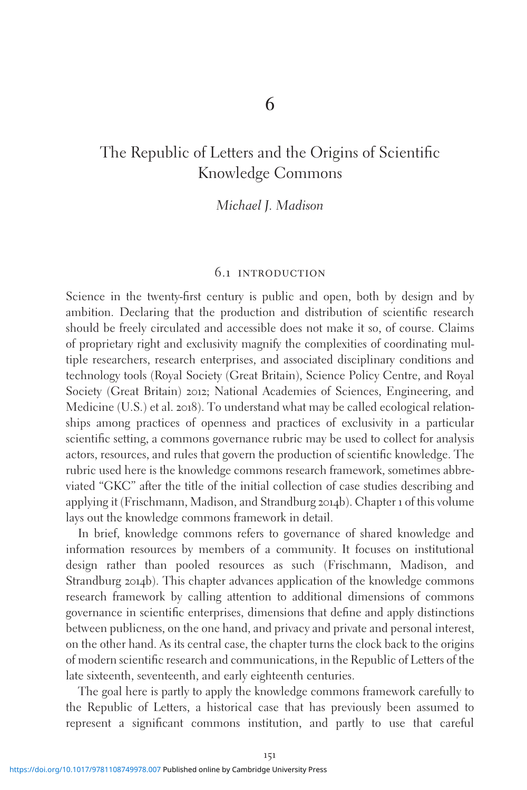# The Republic of Letters and the Origins of Scientific Knowledge Commons

#### Michael J. Madison

#### 6.1 introduction

Science in the twenty-first century is public and open, both by design and by ambition. Declaring that the production and distribution of scientific research should be freely circulated and accessible does not make it so, of course. Claims of proprietary right and exclusivity magnify the complexities of coordinating multiple researchers, research enterprises, and associated disciplinary conditions and technology tools (Royal Society (Great Britain), Science Policy Centre, and Royal Society (Great Britain) 2012; National Academies of Sciences, Engineering, and Medicine (U.S.) et al. 2018). To understand what may be called ecological relationships among practices of openness and practices of exclusivity in a particular scientific setting, a commons governance rubric may be used to collect for analysis actors, resources, and rules that govern the production of scientific knowledge. The rubric used here is the knowledge commons research framework, sometimes abbreviated "GKC" after the title of the initial collection of case studies describing and applying it (Frischmann, Madison, and Strandburg 2014b). Chapter 1 of this volume lays out the knowledge commons framework in detail.

In brief, knowledge commons refers to governance of shared knowledge and information resources by members of a community. It focuses on institutional design rather than pooled resources as such (Frischmann, Madison, and Strandburg 2014b). This chapter advances application of the knowledge commons research framework by calling attention to additional dimensions of commons governance in scientific enterprises, dimensions that define and apply distinctions between publicness, on the one hand, and privacy and private and personal interest, on the other hand. As its central case, the chapter turns the clock back to the origins of modern scientific research and communications, in the Republic of Letters of the late sixteenth, seventeenth, and early eighteenth centuries.

The goal here is partly to apply the knowledge commons framework carefully to the Republic of Letters, a historical case that has previously been assumed to represent a significant commons institution, and partly to use that careful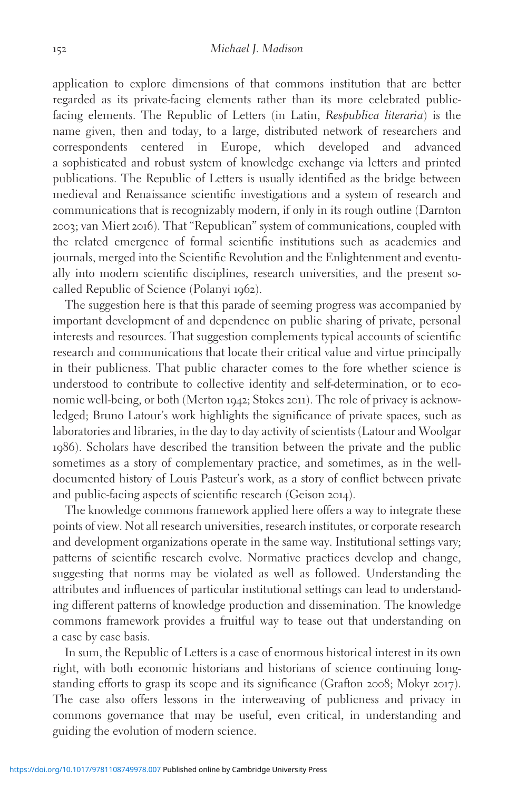application to explore dimensions of that commons institution that are better regarded as its private-facing elements rather than its more celebrated publicfacing elements. The Republic of Letters (in Latin, Respublica literaria) is the name given, then and today, to a large, distributed network of researchers and correspondents centered in Europe, which developed and advanced a sophisticated and robust system of knowledge exchange via letters and printed publications. The Republic of Letters is usually identified as the bridge between medieval and Renaissance scientific investigations and a system of research and communications that is recognizably modern, if only in its rough outline (Darnton 2003; van Miert 2016). That "Republican" system of communications, coupled with the related emergence of formal scientific institutions such as academies and journals, merged into the Scientific Revolution and the Enlightenment and eventually into modern scientific disciplines, research universities, and the present socalled Republic of Science (Polanyi 1962).

The suggestion here is that this parade of seeming progress was accompanied by important development of and dependence on public sharing of private, personal interests and resources. That suggestion complements typical accounts of scientific research and communications that locate their critical value and virtue principally in their publicness. That public character comes to the fore whether science is understood to contribute to collective identity and self-determination, or to economic well-being, or both (Merton 1942; Stokes 2011). The role of privacy is acknowledged; Bruno Latour's work highlights the significance of private spaces, such as laboratories and libraries, in the day to day activity of scientists (Latour and Woolgar 1986). Scholars have described the transition between the private and the public sometimes as a story of complementary practice, and sometimes, as in the welldocumented history of Louis Pasteur's work, as a story of conflict between private and public-facing aspects of scientific research (Geison 2014).

The knowledge commons framework applied here offers a way to integrate these points of view. Not all research universities, research institutes, or corporate research and development organizations operate in the same way. Institutional settings vary; patterns of scientific research evolve. Normative practices develop and change, suggesting that norms may be violated as well as followed. Understanding the attributes and influences of particular institutional settings can lead to understanding different patterns of knowledge production and dissemination. The knowledge commons framework provides a fruitful way to tease out that understanding on a case by case basis.

In sum, the Republic of Letters is a case of enormous historical interest in its own right, with both economic historians and historians of science continuing longstanding efforts to grasp its scope and its significance (Grafton 2008; Mokyr 2017). The case also offers lessons in the interweaving of publicness and privacy in commons governance that may be useful, even critical, in understanding and guiding the evolution of modern science.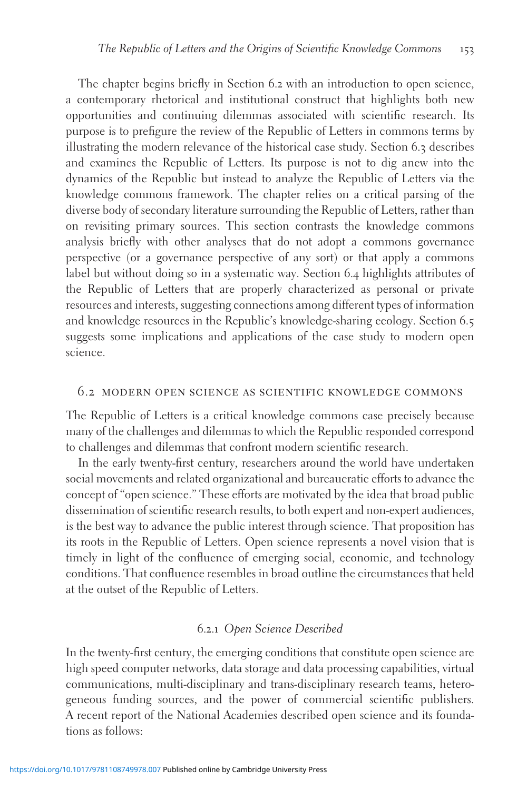The chapter begins briefly in Section 6.2 with an introduction to open science, a contemporary rhetorical and institutional construct that highlights both new opportunities and continuing dilemmas associated with scientific research. Its purpose is to prefigure the review of the Republic of Letters in commons terms by illustrating the modern relevance of the historical case study. Section 6.3 describes and examines the Republic of Letters. Its purpose is not to dig anew into the dynamics of the Republic but instead to analyze the Republic of Letters via the knowledge commons framework. The chapter relies on a critical parsing of the diverse body of secondary literature surrounding the Republic of Letters, rather than on revisiting primary sources. This section contrasts the knowledge commons analysis briefly with other analyses that do not adopt a commons governance perspective (or a governance perspective of any sort) or that apply a commons label but without doing so in a systematic way. Section 6.4 highlights attributes of the Republic of Letters that are properly characterized as personal or private resources and interests, suggesting connections among different types of information and knowledge resources in the Republic's knowledge-sharing ecology. Section 6.5 suggests some implications and applications of the case study to modern open science.

#### 6.2 modern open science as scientific knowledge commons

The Republic of Letters is a critical knowledge commons case precisely because many of the challenges and dilemmas to which the Republic responded correspond to challenges and dilemmas that confront modern scientific research.

In the early twenty-first century, researchers around the world have undertaken social movements and related organizational and bureaucratic efforts to advance the concept of "open science." These efforts are motivated by the idea that broad public dissemination of scientific research results, to both expert and non-expert audiences, is the best way to advance the public interest through science. That proposition has its roots in the Republic of Letters. Open science represents a novel vision that is timely in light of the confluence of emerging social, economic, and technology conditions. That confluence resembles in broad outline the circumstances that held at the outset of the Republic of Letters.

#### 6.2.1 Open Science Described

In the twenty-first century, the emerging conditions that constitute open science are high speed computer networks, data storage and data processing capabilities, virtual communications, multi-disciplinary and trans-disciplinary research teams, heterogeneous funding sources, and the power of commercial scientific publishers. A recent report of the National Academies described open science and its foundations as follows: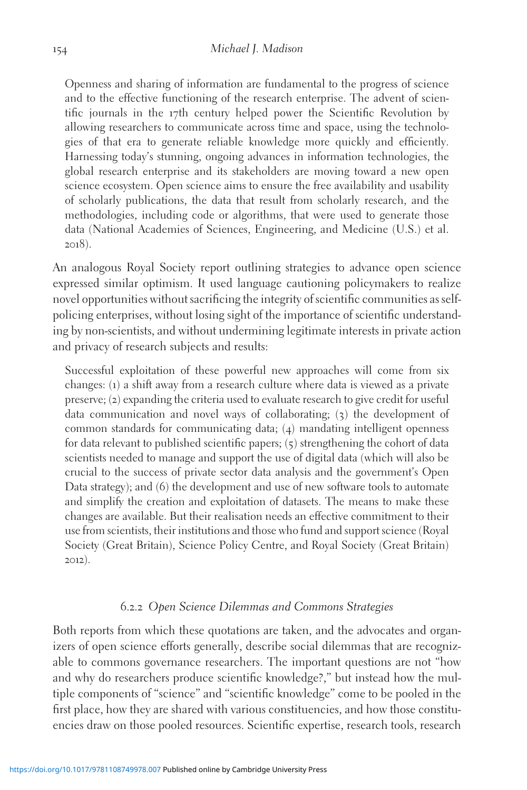Openness and sharing of information are fundamental to the progress of science and to the effective functioning of the research enterprise. The advent of scientific journals in the 17th century helped power the Scientific Revolution by allowing researchers to communicate across time and space, using the technologies of that era to generate reliable knowledge more quickly and efficiently. Harnessing today's stunning, ongoing advances in information technologies, the global research enterprise and its stakeholders are moving toward a new open science ecosystem. Open science aims to ensure the free availability and usability of scholarly publications, the data that result from scholarly research, and the methodologies, including code or algorithms, that were used to generate those data (National Academies of Sciences, Engineering, and Medicine (U.S.) et al. 2018).

An analogous Royal Society report outlining strategies to advance open science expressed similar optimism. It used language cautioning policymakers to realize novel opportunities without sacrificing the integrity of scientific communities as selfpolicing enterprises, without losing sight of the importance of scientific understanding by non-scientists, and without undermining legitimate interests in private action and privacy of research subjects and results:

Successful exploitation of these powerful new approaches will come from six changes: (1) a shift away from a research culture where data is viewed as a private preserve; (2) expanding the criteria used to evaluate research to give credit for useful data communication and novel ways of collaborating; (3) the development of common standards for communicating data; (4) mandating intelligent openness for data relevant to published scientific papers; (5) strengthening the cohort of data scientists needed to manage and support the use of digital data (which will also be crucial to the success of private sector data analysis and the government's Open Data strategy); and (6) the development and use of new software tools to automate and simplify the creation and exploitation of datasets. The means to make these changes are available. But their realisation needs an effective commitment to their use from scientists, their institutions and those who fund and support science (Royal Society (Great Britain), Science Policy Centre, and Royal Society (Great Britain) 2012).

#### 6.2.2 Open Science Dilemmas and Commons Strategies

Both reports from which these quotations are taken, and the advocates and organizers of open science efforts generally, describe social dilemmas that are recognizable to commons governance researchers. The important questions are not "how and why do researchers produce scientific knowledge?," but instead how the multiple components of "science" and "scientific knowledge" come to be pooled in the first place, how they are shared with various constituencies, and how those constituencies draw on those pooled resources. Scientific expertise, research tools, research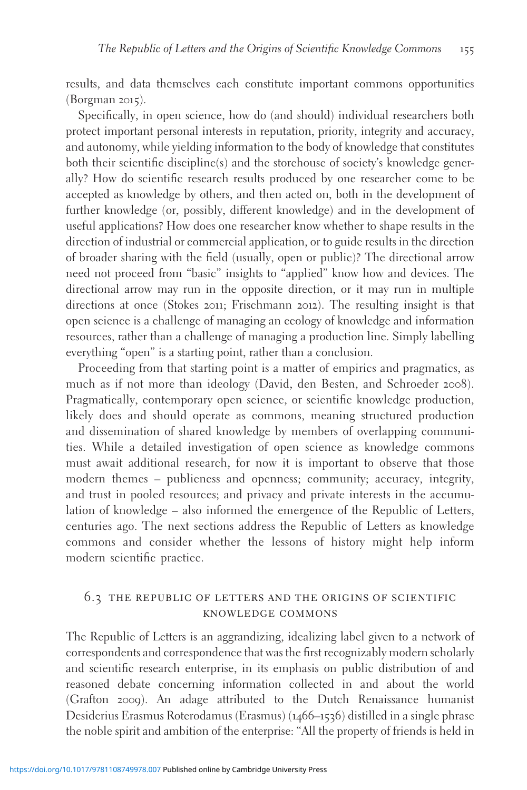results, and data themselves each constitute important commons opportunities (Borgman 2015).

Specifically, in open science, how do (and should) individual researchers both protect important personal interests in reputation, priority, integrity and accuracy, and autonomy, while yielding information to the body of knowledge that constitutes both their scientific discipline(s) and the storehouse of society's knowledge generally? How do scientific research results produced by one researcher come to be accepted as knowledge by others, and then acted on, both in the development of further knowledge (or, possibly, different knowledge) and in the development of useful applications? How does one researcher know whether to shape results in the direction of industrial or commercial application, or to guide results in the direction of broader sharing with the field (usually, open or public)? The directional arrow need not proceed from "basic" insights to "applied" know how and devices. The directional arrow may run in the opposite direction, or it may run in multiple directions at once (Stokes 2011; Frischmann 2012). The resulting insight is that open science is a challenge of managing an ecology of knowledge and information resources, rather than a challenge of managing a production line. Simply labelling everything "open" is a starting point, rather than a conclusion.

Proceeding from that starting point is a matter of empirics and pragmatics, as much as if not more than ideology (David, den Besten, and Schroeder 2008). Pragmatically, contemporary open science, or scientific knowledge production, likely does and should operate as commons, meaning structured production and dissemination of shared knowledge by members of overlapping communities. While a detailed investigation of open science as knowledge commons must await additional research, for now it is important to observe that those modern themes – publicness and openness; community; accuracy, integrity, and trust in pooled resources; and privacy and private interests in the accumulation of knowledge – also informed the emergence of the Republic of Letters, centuries ago. The next sections address the Republic of Letters as knowledge commons and consider whether the lessons of history might help inform modern scientific practice.

# 6.3 the republic of letters and the origins of scientific knowledge commons

The Republic of Letters is an aggrandizing, idealizing label given to a network of correspondents and correspondence that was the first recognizably modern scholarly and scientific research enterprise, in its emphasis on public distribution of and reasoned debate concerning information collected in and about the world (Grafton 2009). An adage attributed to the Dutch Renaissance humanist Desiderius Erasmus Roterodamus (Erasmus) (1466–1536) distilled in a single phrase the noble spirit and ambition of the enterprise: "All the property of friends is held in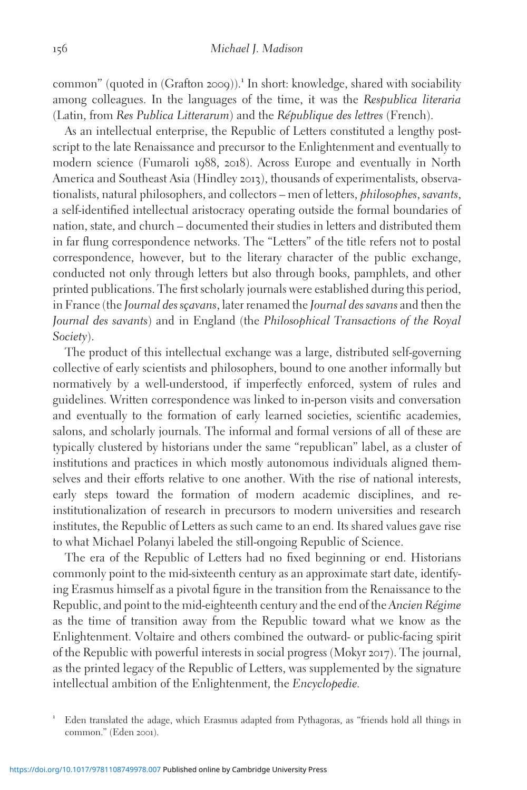common" (quoted in  $(Graffon 2009)$ ).<sup>1</sup> In short: knowledge, shared with sociability among colleagues. In the languages of the time, it was the Respublica literaria (Latin, from Res Publica Litterarum) and the République des lettres (French).

As an intellectual enterprise, the Republic of Letters constituted a lengthy postscript to the late Renaissance and precursor to the Enlightenment and eventually to modern science (Fumaroli 1988, 2018). Across Europe and eventually in North America and Southeast Asia (Hindley 2013), thousands of experimentalists, observationalists, natural philosophers, and collectors – men of letters, *philosophes*, *savants*, a self-identified intellectual aristocracy operating outside the formal boundaries of nation, state, and church – documented their studies in letters and distributed them in far flung correspondence networks. The "Letters" of the title refers not to postal correspondence, however, but to the literary character of the public exchange, conducted not only through letters but also through books, pamphlets, and other printed publications. The first scholarly journals were established during this period, in France (the Journal des scavans, later renamed the Journal des savans and then the Journal des savants) and in England (the Philosophical Transactions of the Royal Society).

The product of this intellectual exchange was a large, distributed self-governing collective of early scientists and philosophers, bound to one another informally but normatively by a well-understood, if imperfectly enforced, system of rules and guidelines. Written correspondence was linked to in-person visits and conversation and eventually to the formation of early learned societies, scientific academies, salons, and scholarly journals. The informal and formal versions of all of these are typically clustered by historians under the same "republican" label, as a cluster of institutions and practices in which mostly autonomous individuals aligned themselves and their efforts relative to one another. With the rise of national interests, early steps toward the formation of modern academic disciplines, and reinstitutionalization of research in precursors to modern universities and research institutes, the Republic of Letters as such came to an end. Its shared values gave rise to what Michael Polanyi labeled the still-ongoing Republic of Science.

The era of the Republic of Letters had no fixed beginning or end. Historians commonly point to the mid-sixteenth century as an approximate start date, identifying Erasmus himself as a pivotal figure in the transition from the Renaissance to the Republic, and point to the mid-eighteenth century and the end of the Ancien Régime as the time of transition away from the Republic toward what we know as the Enlightenment. Voltaire and others combined the outward- or public-facing spirit of the Republic with powerful interests in social progress (Mokyr 2017). The journal, as the printed legacy of the Republic of Letters, was supplemented by the signature intellectual ambition of the Enlightenment, the Encyclopedie.

<sup>1</sup> Eden translated the adage, which Erasmus adapted from Pythagoras, as "friends hold all things in common." (Eden 2001).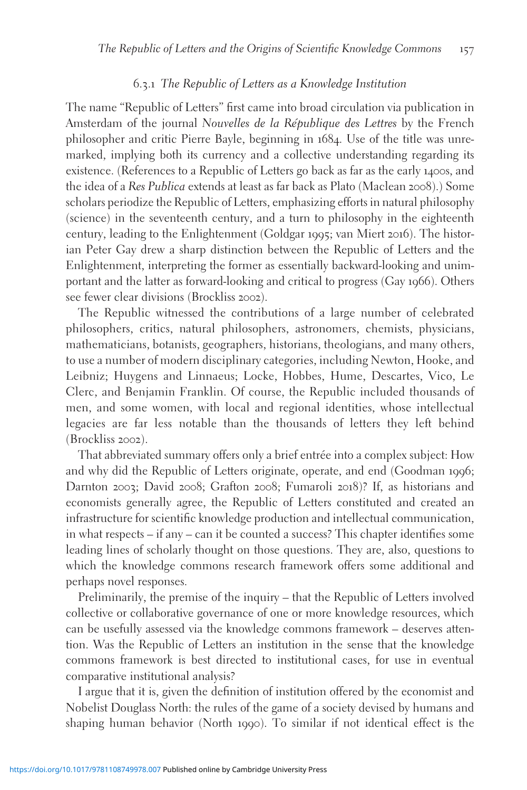# 6.3.1 The Republic of Letters as a Knowledge Institution

The name "Republic of Letters" first came into broad circulation via publication in Amsterdam of the journal Nouvelles de la République des Lettres by the French philosopher and critic Pierre Bayle, beginning in 1684. Use of the title was unremarked, implying both its currency and a collective understanding regarding its existence. (References to a Republic of Letters go back as far as the early 1400s, and the idea of a Res Publica extends at least as far back as Plato (Maclean 2008).) Some scholars periodize the Republic of Letters, emphasizing efforts in natural philosophy (science) in the seventeenth century, and a turn to philosophy in the eighteenth century, leading to the Enlightenment (Goldgar 1995; van Miert 2016). The historian Peter Gay drew a sharp distinction between the Republic of Letters and the Enlightenment, interpreting the former as essentially backward-looking and unimportant and the latter as forward-looking and critical to progress (Gay 1966). Others see fewer clear divisions (Brockliss 2002).

The Republic witnessed the contributions of a large number of celebrated philosophers, critics, natural philosophers, astronomers, chemists, physicians, mathematicians, botanists, geographers, historians, theologians, and many others, to use a number of modern disciplinary categories, including Newton, Hooke, and Leibniz; Huygens and Linnaeus; Locke, Hobbes, Hume, Descartes, Vico, Le Clerc, and Benjamin Franklin. Of course, the Republic included thousands of men, and some women, with local and regional identities, whose intellectual legacies are far less notable than the thousands of letters they left behind (Brockliss 2002).

That abbreviated summary offers only a brief entrée into a complex subject: How and why did the Republic of Letters originate, operate, and end (Goodman 1996; Darnton 2003; David 2008; Grafton 2008; Fumaroli 2018)? If, as historians and economists generally agree, the Republic of Letters constituted and created an infrastructure for scientific knowledge production and intellectual communication, in what respects – if any – can it be counted a success? This chapter identifies some leading lines of scholarly thought on those questions. They are, also, questions to which the knowledge commons research framework offers some additional and perhaps novel responses.

Preliminarily, the premise of the inquiry – that the Republic of Letters involved collective or collaborative governance of one or more knowledge resources, which can be usefully assessed via the knowledge commons framework – deserves attention. Was the Republic of Letters an institution in the sense that the knowledge commons framework is best directed to institutional cases, for use in eventual comparative institutional analysis?

I argue that it is, given the definition of institution offered by the economist and Nobelist Douglass North: the rules of the game of a society devised by humans and shaping human behavior (North 1990). To similar if not identical effect is the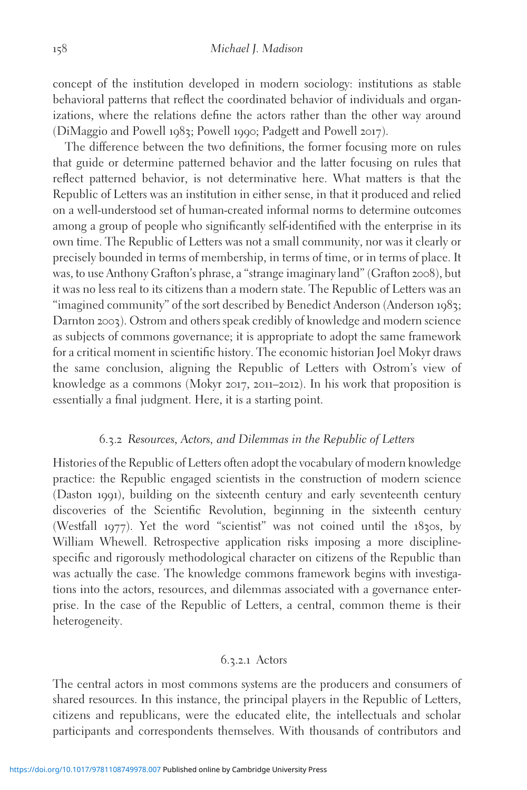concept of the institution developed in modern sociology: institutions as stable behavioral patterns that reflect the coordinated behavior of individuals and organizations, where the relations define the actors rather than the other way around (DiMaggio and Powell 1983; Powell 1990; Padgett and Powell 2017).

The difference between the two definitions, the former focusing more on rules that guide or determine patterned behavior and the latter focusing on rules that reflect patterned behavior, is not determinative here. What matters is that the Republic of Letters was an institution in either sense, in that it produced and relied on a well-understood set of human-created informal norms to determine outcomes among a group of people who significantly self-identified with the enterprise in its own time. The Republic of Letters was not a small community, nor was it clearly or precisely bounded in terms of membership, in terms of time, or in terms of place. It was, to use Anthony Grafton's phrase, a "strange imaginary land" (Grafton 2008), but it was no less real to its citizens than a modern state. The Republic of Letters was an "imagined community" of the sort described by Benedict Anderson (Anderson 1983; Darnton 2003). Ostrom and others speak credibly of knowledge and modern science as subjects of commons governance; it is appropriate to adopt the same framework for a critical moment in scientific history. The economic historian Joel Mokyr draws the same conclusion, aligning the Republic of Letters with Ostrom's view of knowledge as a commons (Mokyr 2017, 2011–2012). In his work that proposition is essentially a final judgment. Here, it is a starting point.

# 6.3.2 Resources, Actors, and Dilemmas in the Republic of Letters

Histories of the Republic of Letters often adopt the vocabulary of modern knowledge practice: the Republic engaged scientists in the construction of modern science (Daston 1991), building on the sixteenth century and early seventeenth century discoveries of the Scientific Revolution, beginning in the sixteenth century (Westfall 1977). Yet the word "scientist" was not coined until the 1830s, by William Whewell. Retrospective application risks imposing a more disciplinespecific and rigorously methodological character on citizens of the Republic than was actually the case. The knowledge commons framework begins with investigations into the actors, resources, and dilemmas associated with a governance enterprise. In the case of the Republic of Letters, a central, common theme is their heterogeneity.

#### 6.3.2.1 Actors

The central actors in most commons systems are the producers and consumers of shared resources. In this instance, the principal players in the Republic of Letters, citizens and republicans, were the educated elite, the intellectuals and scholar participants and correspondents themselves. With thousands of contributors and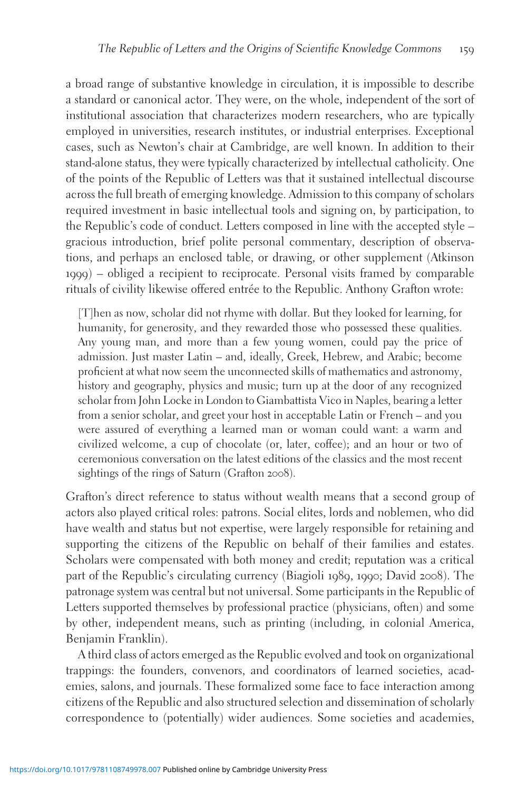a broad range of substantive knowledge in circulation, it is impossible to describe a standard or canonical actor. They were, on the whole, independent of the sort of institutional association that characterizes modern researchers, who are typically employed in universities, research institutes, or industrial enterprises. Exceptional cases, such as Newton's chair at Cambridge, are well known. In addition to their stand-alone status, they were typically characterized by intellectual catholicity. One of the points of the Republic of Letters was that it sustained intellectual discourse across the full breath of emerging knowledge. Admission to this company of scholars required investment in basic intellectual tools and signing on, by participation, to the Republic's code of conduct. Letters composed in line with the accepted style – gracious introduction, brief polite personal commentary, description of observations, and perhaps an enclosed table, or drawing, or other supplement (Atkinson 1999) – obliged a recipient to reciprocate. Personal visits framed by comparable rituals of civility likewise offered entrée to the Republic. Anthony Grafton wrote:

[T]hen as now, scholar did not rhyme with dollar. But they looked for learning, for humanity, for generosity, and they rewarded those who possessed these qualities. Any young man, and more than a few young women, could pay the price of admission. Just master Latin – and, ideally, Greek, Hebrew, and Arabic; become proficient at what now seem the unconnected skills of mathematics and astronomy, history and geography, physics and music; turn up at the door of any recognized scholar from John Locke in London to Giambattista Vico in Naples, bearing a letter from a senior scholar, and greet your host in acceptable Latin or French – and you were assured of everything a learned man or woman could want: a warm and civilized welcome, a cup of chocolate (or, later, coffee); and an hour or two of ceremonious conversation on the latest editions of the classics and the most recent sightings of the rings of Saturn (Grafton 2008).

Grafton's direct reference to status without wealth means that a second group of actors also played critical roles: patrons. Social elites, lords and noblemen, who did have wealth and status but not expertise, were largely responsible for retaining and supporting the citizens of the Republic on behalf of their families and estates. Scholars were compensated with both money and credit; reputation was a critical part of the Republic's circulating currency (Biagioli 1989, 1990; David 2008). The patronage system was central but not universal. Some participants in the Republic of Letters supported themselves by professional practice (physicians, often) and some by other, independent means, such as printing (including, in colonial America, Benjamin Franklin).

A third class of actors emerged as the Republic evolved and took on organizational trappings: the founders, convenors, and coordinators of learned societies, academies, salons, and journals. These formalized some face to face interaction among citizens of the Republic and also structured selection and dissemination of scholarly correspondence to (potentially) wider audiences. Some societies and academies,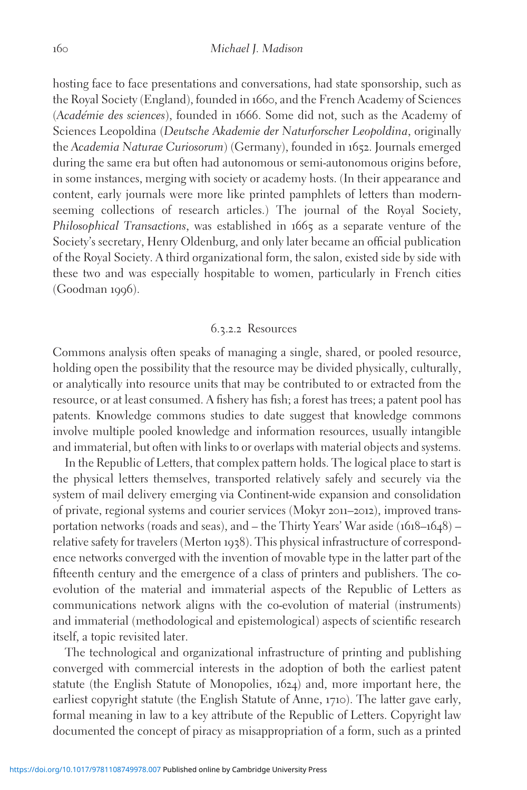hosting face to face presentations and conversations, had state sponsorship, such as the Royal Society (England), founded in 1660, and the French Academy of Sciences (Académie des sciences), founded in 1666. Some did not, such as the Academy of Sciences Leopoldina (Deutsche Akademie der Naturforscher Leopoldina, originally the Academia Naturae Curiosorum) (Germany), founded in 1652. Journals emerged during the same era but often had autonomous or semi-autonomous origins before, in some instances, merging with society or academy hosts. (In their appearance and content, early journals were more like printed pamphlets of letters than modernseeming collections of research articles.) The journal of the Royal Society, Philosophical Transactions, was established in 1665 as a separate venture of the Society's secretary, Henry Oldenburg, and only later became an official publication of the Royal Society. A third organizational form, the salon, existed side by side with these two and was especially hospitable to women, particularly in French cities (Goodman 1996).

### 6.3.2.2 Resources

Commons analysis often speaks of managing a single, shared, or pooled resource, holding open the possibility that the resource may be divided physically, culturally, or analytically into resource units that may be contributed to or extracted from the resource, or at least consumed. A fishery has fish; a forest has trees; a patent pool has patents. Knowledge commons studies to date suggest that knowledge commons involve multiple pooled knowledge and information resources, usually intangible and immaterial, but often with links to or overlaps with material objects and systems.

In the Republic of Letters, that complex pattern holds. The logical place to start is the physical letters themselves, transported relatively safely and securely via the system of mail delivery emerging via Continent-wide expansion and consolidation of private, regional systems and courier services (Mokyr 2011–2012), improved transportation networks (roads and seas), and – the Thirty Years' War aside (1618–1648) – relative safety for travelers (Merton 1938). This physical infrastructure of correspondence networks converged with the invention of movable type in the latter part of the fifteenth century and the emergence of a class of printers and publishers. The coevolution of the material and immaterial aspects of the Republic of Letters as communications network aligns with the co-evolution of material (instruments) and immaterial (methodological and epistemological) aspects of scientific research itself, a topic revisited later.

The technological and organizational infrastructure of printing and publishing converged with commercial interests in the adoption of both the earliest patent statute (the English Statute of Monopolies, 1624) and, more important here, the earliest copyright statute (the English Statute of Anne, 1710). The latter gave early, formal meaning in law to a key attribute of the Republic of Letters. Copyright law documented the concept of piracy as misappropriation of a form, such as a printed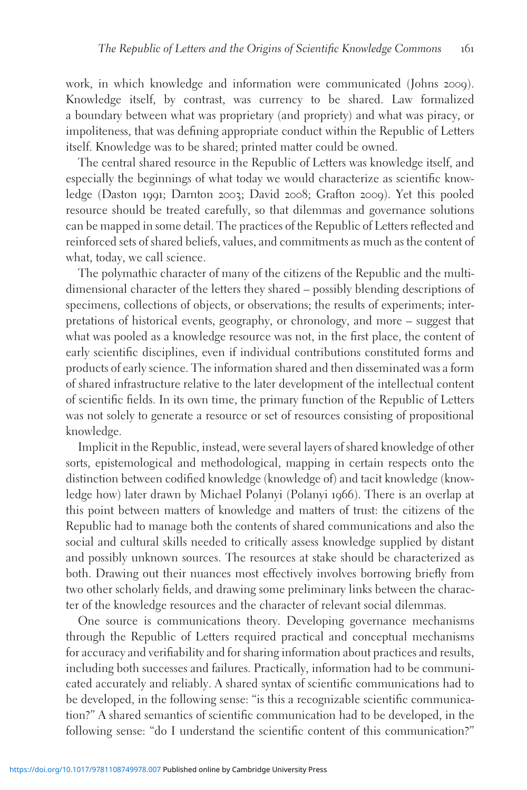work, in which knowledge and information were communicated (Johns 2009). Knowledge itself, by contrast, was currency to be shared. Law formalized a boundary between what was proprietary (and propriety) and what was piracy, or impoliteness, that was defining appropriate conduct within the Republic of Letters itself. Knowledge was to be shared; printed matter could be owned.

The central shared resource in the Republic of Letters was knowledge itself, and especially the beginnings of what today we would characterize as scientific knowledge (Daston 1991; Darnton 2003; David 2008; Grafton 2009). Yet this pooled resource should be treated carefully, so that dilemmas and governance solutions can be mapped in some detail. The practices of the Republic of Letters reflected and reinforced sets of shared beliefs, values, and commitments as much as the content of what, today, we call science.

The polymathic character of many of the citizens of the Republic and the multidimensional character of the letters they shared – possibly blending descriptions of specimens, collections of objects, or observations; the results of experiments; interpretations of historical events, geography, or chronology, and more – suggest that what was pooled as a knowledge resource was not, in the first place, the content of early scientific disciplines, even if individual contributions constituted forms and products of early science. The information shared and then disseminated was a form of shared infrastructure relative to the later development of the intellectual content of scientific fields. In its own time, the primary function of the Republic of Letters was not solely to generate a resource or set of resources consisting of propositional knowledge.

Implicit in the Republic, instead, were several layers of shared knowledge of other sorts, epistemological and methodological, mapping in certain respects onto the distinction between codified knowledge (knowledge of) and tacit knowledge (knowledge how) later drawn by Michael Polanyi (Polanyi 1966). There is an overlap at this point between matters of knowledge and matters of trust: the citizens of the Republic had to manage both the contents of shared communications and also the social and cultural skills needed to critically assess knowledge supplied by distant and possibly unknown sources. The resources at stake should be characterized as both. Drawing out their nuances most effectively involves borrowing briefly from two other scholarly fields, and drawing some preliminary links between the character of the knowledge resources and the character of relevant social dilemmas.

One source is communications theory. Developing governance mechanisms through the Republic of Letters required practical and conceptual mechanisms for accuracy and verifiability and for sharing information about practices and results, including both successes and failures. Practically, information had to be communicated accurately and reliably. A shared syntax of scientific communications had to be developed, in the following sense: "is this a recognizable scientific communication?" A shared semantics of scientific communication had to be developed, in the following sense: "do I understand the scientific content of this communication?"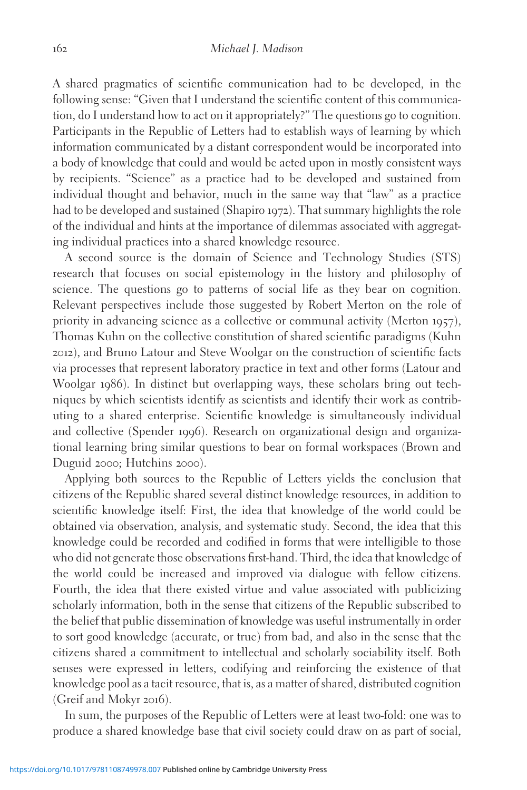A shared pragmatics of scientific communication had to be developed, in the following sense: "Given that I understand the scientific content of this communication, do I understand how to act on it appropriately?" The questions go to cognition. Participants in the Republic of Letters had to establish ways of learning by which information communicated by a distant correspondent would be incorporated into a body of knowledge that could and would be acted upon in mostly consistent ways by recipients. "Science" as a practice had to be developed and sustained from individual thought and behavior, much in the same way that "law" as a practice had to be developed and sustained (Shapiro 1972). That summary highlights the role of the individual and hints at the importance of dilemmas associated with aggregating individual practices into a shared knowledge resource.

A second source is the domain of Science and Technology Studies (STS) research that focuses on social epistemology in the history and philosophy of science. The questions go to patterns of social life as they bear on cognition. Relevant perspectives include those suggested by Robert Merton on the role of priority in advancing science as a collective or communal activity (Merton 1957), Thomas Kuhn on the collective constitution of shared scientific paradigms (Kuhn 2012), and Bruno Latour and Steve Woolgar on the construction of scientific facts via processes that represent laboratory practice in text and other forms (Latour and Woolgar 1986). In distinct but overlapping ways, these scholars bring out techniques by which scientists identify as scientists and identify their work as contributing to a shared enterprise. Scientific knowledge is simultaneously individual and collective (Spender 1996). Research on organizational design and organizational learning bring similar questions to bear on formal workspaces (Brown and Duguid 2000; Hutchins 2000).

Applying both sources to the Republic of Letters yields the conclusion that citizens of the Republic shared several distinct knowledge resources, in addition to scientific knowledge itself: First, the idea that knowledge of the world could be obtained via observation, analysis, and systematic study. Second, the idea that this knowledge could be recorded and codified in forms that were intelligible to those who did not generate those observations first-hand. Third, the idea that knowledge of the world could be increased and improved via dialogue with fellow citizens. Fourth, the idea that there existed virtue and value associated with publicizing scholarly information, both in the sense that citizens of the Republic subscribed to the belief that public dissemination of knowledge was useful instrumentally in order to sort good knowledge (accurate, or true) from bad, and also in the sense that the citizens shared a commitment to intellectual and scholarly sociability itself. Both senses were expressed in letters, codifying and reinforcing the existence of that knowledge pool as a tacit resource, that is, as a matter of shared, distributed cognition (Greif and Mokyr 2016).

In sum, the purposes of the Republic of Letters were at least two-fold: one was to produce a shared knowledge base that civil society could draw on as part of social,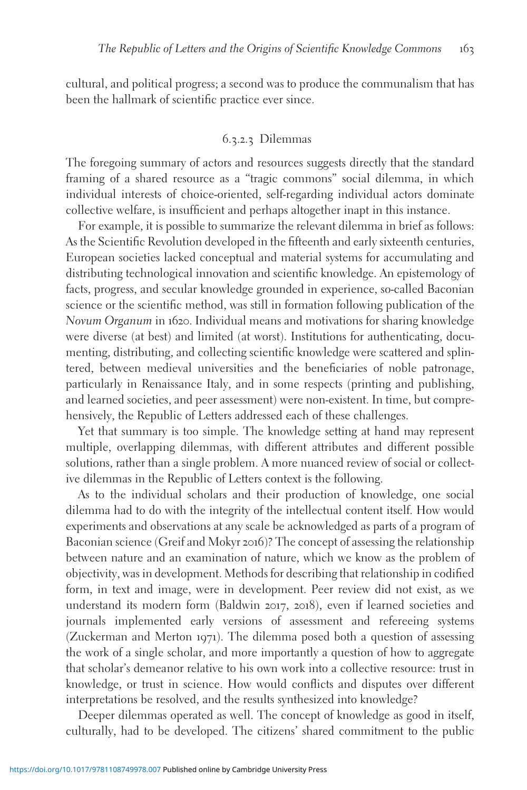cultural, and political progress; a second was to produce the communalism that has been the hallmark of scientific practice ever since.

### 6.3.2.3 Dilemmas

The foregoing summary of actors and resources suggests directly that the standard framing of a shared resource as a "tragic commons" social dilemma, in which individual interests of choice-oriented, self-regarding individual actors dominate collective welfare, is insufficient and perhaps altogether inapt in this instance.

For example, it is possible to summarize the relevant dilemma in brief as follows: As the Scientific Revolution developed in the fifteenth and early sixteenth centuries, European societies lacked conceptual and material systems for accumulating and distributing technological innovation and scientific knowledge. An epistemology of facts, progress, and secular knowledge grounded in experience, so-called Baconian science or the scientific method, was still in formation following publication of the Novum Organum in 1620. Individual means and motivations for sharing knowledge were diverse (at best) and limited (at worst). Institutions for authenticating, documenting, distributing, and collecting scientific knowledge were scattered and splintered, between medieval universities and the beneficiaries of noble patronage, particularly in Renaissance Italy, and in some respects (printing and publishing, and learned societies, and peer assessment) were non-existent. In time, but comprehensively, the Republic of Letters addressed each of these challenges.

Yet that summary is too simple. The knowledge setting at hand may represent multiple, overlapping dilemmas, with different attributes and different possible solutions, rather than a single problem. A more nuanced review of social or collective dilemmas in the Republic of Letters context is the following.

As to the individual scholars and their production of knowledge, one social dilemma had to do with the integrity of the intellectual content itself. How would experiments and observations at any scale be acknowledged as parts of a program of Baconian science (Greif and Mokyr 2016)? The concept of assessing the relationship between nature and an examination of nature, which we know as the problem of objectivity, was in development. Methods for describing that relationship in codified form, in text and image, were in development. Peer review did not exist, as we understand its modern form (Baldwin 2017, 2018), even if learned societies and journals implemented early versions of assessment and refereeing systems (Zuckerman and Merton 1971). The dilemma posed both a question of assessing the work of a single scholar, and more importantly a question of how to aggregate that scholar's demeanor relative to his own work into a collective resource: trust in knowledge, or trust in science. How would conflicts and disputes over different interpretations be resolved, and the results synthesized into knowledge?

Deeper dilemmas operated as well. The concept of knowledge as good in itself, culturally, had to be developed. The citizens' shared commitment to the public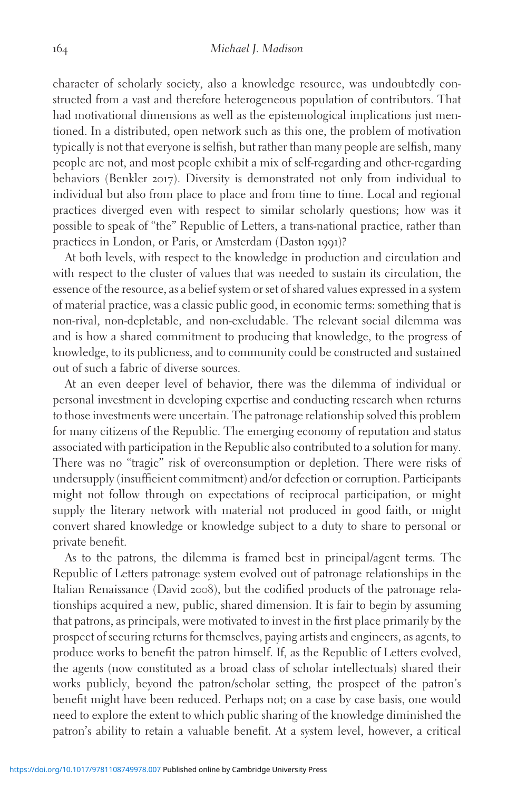character of scholarly society, also a knowledge resource, was undoubtedly constructed from a vast and therefore heterogeneous population of contributors. That had motivational dimensions as well as the epistemological implications just mentioned. In a distributed, open network such as this one, the problem of motivation typically is not that everyone is selfish, but rather than many people are selfish, many people are not, and most people exhibit a mix of self-regarding and other-regarding behaviors (Benkler 2017). Diversity is demonstrated not only from individual to individual but also from place to place and from time to time. Local and regional practices diverged even with respect to similar scholarly questions; how was it possible to speak of "the" Republic of Letters, a trans-national practice, rather than practices in London, or Paris, or Amsterdam (Daston 1991)?

At both levels, with respect to the knowledge in production and circulation and with respect to the cluster of values that was needed to sustain its circulation, the essence of the resource, as a belief system or set of shared values expressed in a system of material practice, was a classic public good, in economic terms: something that is non-rival, non-depletable, and non-excludable. The relevant social dilemma was and is how a shared commitment to producing that knowledge, to the progress of knowledge, to its publicness, and to community could be constructed and sustained out of such a fabric of diverse sources.

At an even deeper level of behavior, there was the dilemma of individual or personal investment in developing expertise and conducting research when returns to those investments were uncertain. The patronage relationship solved this problem for many citizens of the Republic. The emerging economy of reputation and status associated with participation in the Republic also contributed to a solution for many. There was no "tragic" risk of overconsumption or depletion. There were risks of undersupply (insufficient commitment) and/or defection or corruption. Participants might not follow through on expectations of reciprocal participation, or might supply the literary network with material not produced in good faith, or might convert shared knowledge or knowledge subject to a duty to share to personal or private benefit.

As to the patrons, the dilemma is framed best in principal/agent terms. The Republic of Letters patronage system evolved out of patronage relationships in the Italian Renaissance (David 2008), but the codified products of the patronage relationships acquired a new, public, shared dimension. It is fair to begin by assuming that patrons, as principals, were motivated to invest in the first place primarily by the prospect of securing returns for themselves, paying artists and engineers, as agents, to produce works to benefit the patron himself. If, as the Republic of Letters evolved, the agents (now constituted as a broad class of scholar intellectuals) shared their works publicly, beyond the patron/scholar setting, the prospect of the patron's benefit might have been reduced. Perhaps not; on a case by case basis, one would need to explore the extent to which public sharing of the knowledge diminished the patron's ability to retain a valuable benefit. At a system level, however, a critical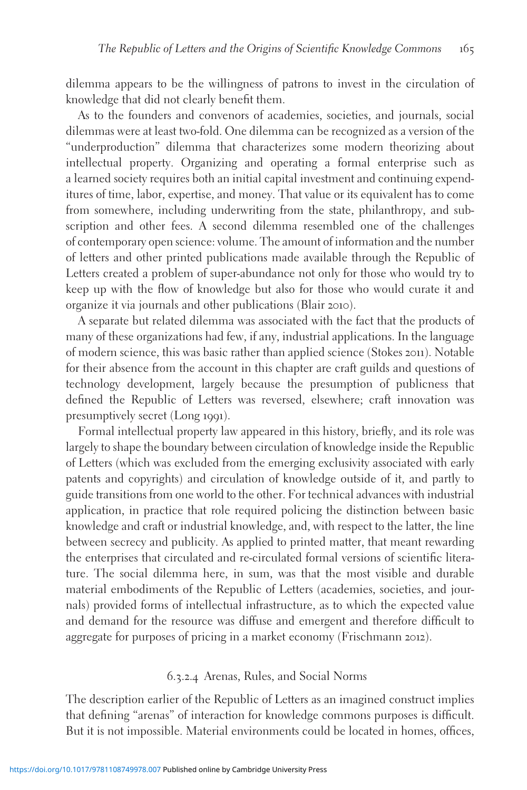dilemma appears to be the willingness of patrons to invest in the circulation of knowledge that did not clearly benefit them.

As to the founders and convenors of academies, societies, and journals, social dilemmas were at least two-fold. One dilemma can be recognized as a version of the "underproduction" dilemma that characterizes some modern theorizing about intellectual property. Organizing and operating a formal enterprise such as a learned society requires both an initial capital investment and continuing expenditures of time, labor, expertise, and money. That value or its equivalent has to come from somewhere, including underwriting from the state, philanthropy, and subscription and other fees. A second dilemma resembled one of the challenges of contemporary open science: volume. The amount of information and the number of letters and other printed publications made available through the Republic of Letters created a problem of super-abundance not only for those who would try to keep up with the flow of knowledge but also for those who would curate it and organize it via journals and other publications (Blair 2010).

A separate but related dilemma was associated with the fact that the products of many of these organizations had few, if any, industrial applications. In the language of modern science, this was basic rather than applied science (Stokes 2011). Notable for their absence from the account in this chapter are craft guilds and questions of technology development, largely because the presumption of publicness that defined the Republic of Letters was reversed, elsewhere; craft innovation was presumptively secret (Long 1991).

Formal intellectual property law appeared in this history, briefly, and its role was largely to shape the boundary between circulation of knowledge inside the Republic of Letters (which was excluded from the emerging exclusivity associated with early patents and copyrights) and circulation of knowledge outside of it, and partly to guide transitions from one world to the other. For technical advances with industrial application, in practice that role required policing the distinction between basic knowledge and craft or industrial knowledge, and, with respect to the latter, the line between secrecy and publicity. As applied to printed matter, that meant rewarding the enterprises that circulated and re-circulated formal versions of scientific literature. The social dilemma here, in sum, was that the most visible and durable material embodiments of the Republic of Letters (academies, societies, and journals) provided forms of intellectual infrastructure, as to which the expected value and demand for the resource was diffuse and emergent and therefore difficult to aggregate for purposes of pricing in a market economy (Frischmann 2012).

# 6.3.2.4 Arenas, Rules, and Social Norms

The description earlier of the Republic of Letters as an imagined construct implies that defining "arenas" of interaction for knowledge commons purposes is difficult. But it is not impossible. Material environments could be located in homes, offices,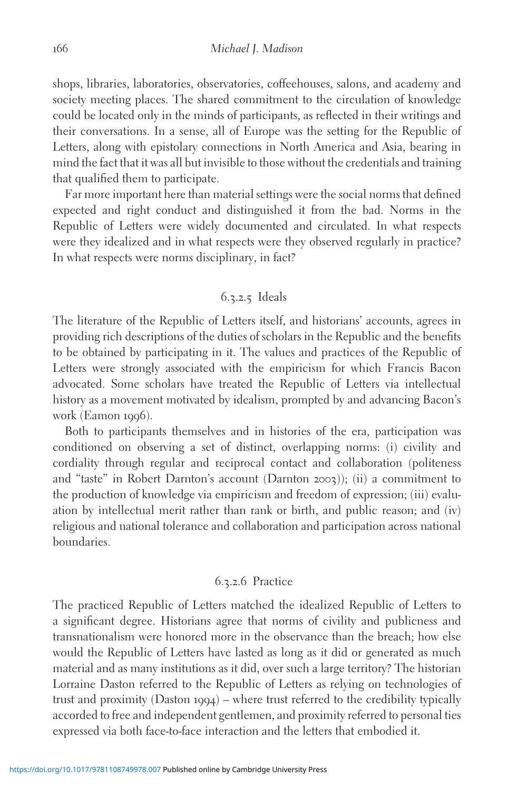shops, libraries, laboratories, observatories, coffeehouses, salons, and academy and society meeting places. The shared commitment to the circulation of knowledge could be located only in the minds of participants, as reflected in their writings and their conversations. In a sense, all of Europe was the setting for the Republic of Letters, along with epistolary connections in North America and Asia, bearing in mind the fact that it was all but invisible to those without the credentials and training that qualified them to participate.

Far more important here than material settings were the social norms that defined expected and right conduct and distinguished it from the bad. Norms in the Republic of Letters were widely documented and circulated. In what respects were they idealized and in what respects were they observed regularly in practice? In what respects were norms disciplinary, in fact?

# 6.3.2.5 Ideals

The literature of the Republic of Letters itself, and historians' accounts, agrees in providing rich descriptions of the duties of scholars in the Republic and the benefits to be obtained by participating in it. The values and practices of the Republic of Letters were strongly associated with the empiricism for which Francis Bacon advocated. Some scholars have treated the Republic of Letters via intellectual history as a movement motivated by idealism, prompted by and advancing Bacon's work (Eamon 1996).

Both to participants themselves and in histories of the era, participation was conditioned on observing a set of distinct, overlapping norms: (i) civility and cordiality through regular and reciprocal contact and collaboration (politeness and "taste" in Robert Darnton's account (Darnton 2003)); (ii) a commitment to the production of knowledge via empiricism and freedom of expression; (iii) evaluation by intellectual merit rather than rank or birth, and public reason; and (iv) religious and national tolerance and collaboration and participation across national boundaries.

#### 6.3.2.6 Practice

The practiced Republic of Letters matched the idealized Republic of Letters to a significant degree. Historians agree that norms of civility and publicness and transnationalism were honored more in the observance than the breach; how else would the Republic of Letters have lasted as long as it did or generated as much material and as many institutions as it did, over such a large territory? The historian Lorraine Daston referred to the Republic of Letters as relying on technologies of trust and proximity (Daston 1994) – where trust referred to the credibility typically accorded to free and independent gentlemen, and proximity referred to personal ties expressed via both face-to-face interaction and the letters that embodied it.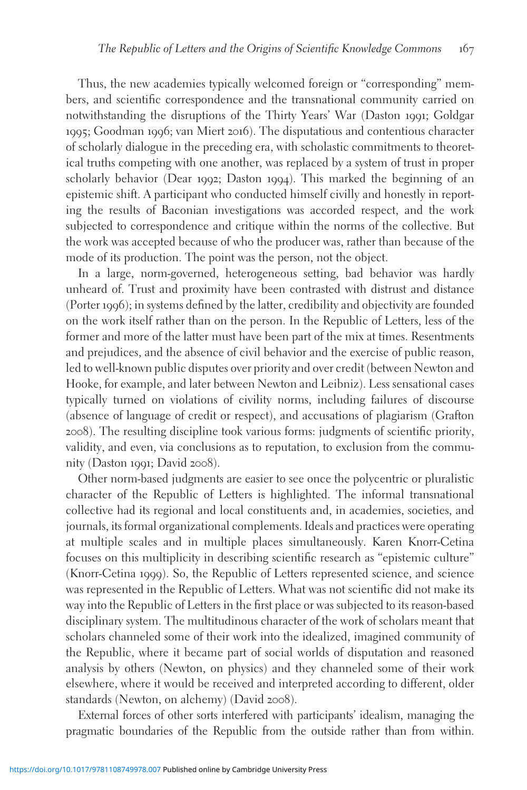Thus, the new academies typically welcomed foreign or "corresponding" members, and scientific correspondence and the transnational community carried on notwithstanding the disruptions of the Thirty Years' War (Daston 1991; Goldgar 1995; Goodman 1996; van Miert 2016). The disputatious and contentious character of scholarly dialogue in the preceding era, with scholastic commitments to theoretical truths competing with one another, was replaced by a system of trust in proper scholarly behavior (Dear 1992; Daston 1994). This marked the beginning of an epistemic shift. A participant who conducted himself civilly and honestly in reporting the results of Baconian investigations was accorded respect, and the work subjected to correspondence and critique within the norms of the collective. But the work was accepted because of who the producer was, rather than because of the mode of its production. The point was the person, not the object.

In a large, norm-governed, heterogeneous setting, bad behavior was hardly unheard of. Trust and proximity have been contrasted with distrust and distance (Porter 1996); in systems defined by the latter, credibility and objectivity are founded on the work itself rather than on the person. In the Republic of Letters, less of the former and more of the latter must have been part of the mix at times. Resentments and prejudices, and the absence of civil behavior and the exercise of public reason, led to well-known public disputes over priority and over credit (between Newton and Hooke, for example, and later between Newton and Leibniz). Less sensational cases typically turned on violations of civility norms, including failures of discourse (absence of language of credit or respect), and accusations of plagiarism (Grafton 2008). The resulting discipline took various forms: judgments of scientific priority, validity, and even, via conclusions as to reputation, to exclusion from the community (Daston 1991; David 2008).

Other norm-based judgments are easier to see once the polycentric or pluralistic character of the Republic of Letters is highlighted. The informal transnational collective had its regional and local constituents and, in academies, societies, and journals, its formal organizational complements. Ideals and practices were operating at multiple scales and in multiple places simultaneously. Karen Knorr-Cetina focuses on this multiplicity in describing scientific research as "epistemic culture" (Knorr-Cetina 1999). So, the Republic of Letters represented science, and science was represented in the Republic of Letters. What was not scientific did not make its way into the Republic of Letters in the first place or was subjected to its reason-based disciplinary system. The multitudinous character of the work of scholars meant that scholars channeled some of their work into the idealized, imagined community of the Republic, where it became part of social worlds of disputation and reasoned analysis by others (Newton, on physics) and they channeled some of their work elsewhere, where it would be received and interpreted according to different, older standards (Newton, on alchemy) (David 2008).

External forces of other sorts interfered with participants' idealism, managing the pragmatic boundaries of the Republic from the outside rather than from within.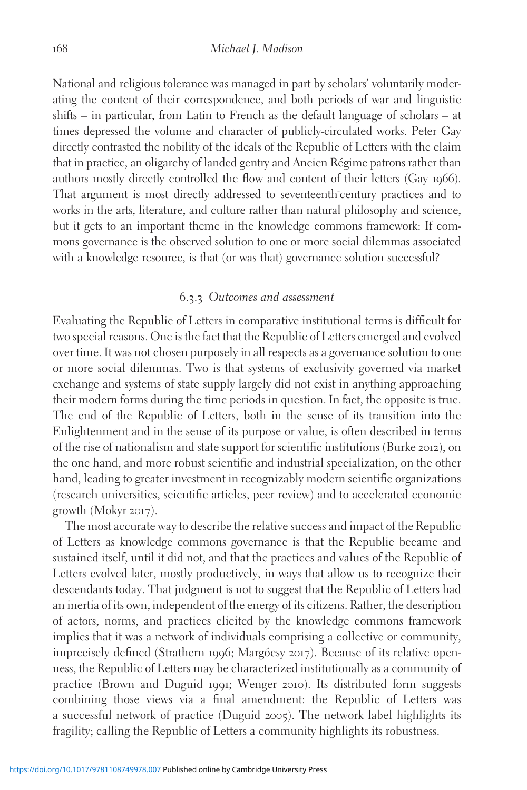National and religious tolerance was managed in part by scholars' voluntarily moderating the content of their correspondence, and both periods of war and linguistic shifts – in particular, from Latin to French as the default language of scholars – at times depressed the volume and character of publicly-circulated works. Peter Gay directly contrasted the nobility of the ideals of the Republic of Letters with the claim that in practice, an oligarchy of landed gentry and Ancien Régime patrons rather than authors mostly directly controlled the flow and content of their letters (Gay 1966). That argument is most directly addressed to seventeenth century practices and to works in the arts, literature, and culture rather than natural philosophy and science, but it gets to an important theme in the knowledge commons framework: If commons governance is the observed solution to one or more social dilemmas associated with a knowledge resource, is that (or was that) governance solution successful?

# 6.3.3 Outcomes and assessment

Evaluating the Republic of Letters in comparative institutional terms is difficult for two special reasons. One is the fact that the Republic of Letters emerged and evolved over time. It was not chosen purposely in all respects as a governance solution to one or more social dilemmas. Two is that systems of exclusivity governed via market exchange and systems of state supply largely did not exist in anything approaching their modern forms during the time periods in question. In fact, the opposite is true. The end of the Republic of Letters, both in the sense of its transition into the Enlightenment and in the sense of its purpose or value, is often described in terms of the rise of nationalism and state support for scientific institutions (Burke 2012), on the one hand, and more robust scientific and industrial specialization, on the other hand, leading to greater investment in recognizably modern scientific organizations (research universities, scientific articles, peer review) and to accelerated economic growth (Mokyr 2017).

The most accurate way to describe the relative success and impact of the Republic of Letters as knowledge commons governance is that the Republic became and sustained itself, until it did not, and that the practices and values of the Republic of Letters evolved later, mostly productively, in ways that allow us to recognize their descendants today. That judgment is not to suggest that the Republic of Letters had an inertia of its own, independent of the energy of its citizens. Rather, the description of actors, norms, and practices elicited by the knowledge commons framework implies that it was a network of individuals comprising a collective or community, imprecisely defined (Strathern 1996; Margócsy 2017). Because of its relative openness, the Republic of Letters may be characterized institutionally as a community of practice (Brown and Duguid 1991; Wenger 2010). Its distributed form suggests combining those views via a final amendment: the Republic of Letters was a successful network of practice (Duguid 2005). The network label highlights its fragility; calling the Republic of Letters a community highlights its robustness.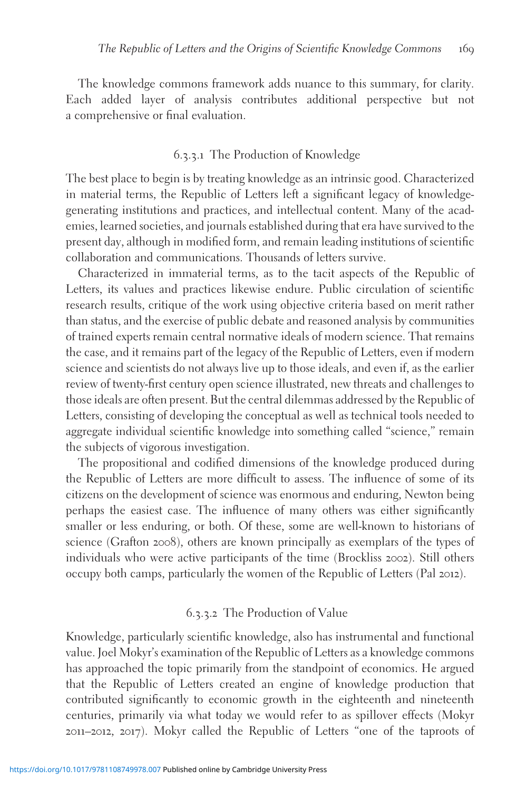The knowledge commons framework adds nuance to this summary, for clarity. Each added layer of analysis contributes additional perspective but not a comprehensive or final evaluation.

#### 6.3.3.1 The Production of Knowledge

The best place to begin is by treating knowledge as an intrinsic good. Characterized in material terms, the Republic of Letters left a significant legacy of knowledgegenerating institutions and practices, and intellectual content. Many of the academies, learned societies, and journals established during that era have survived to the present day, although in modified form, and remain leading institutions of scientific collaboration and communications. Thousands of letters survive.

Characterized in immaterial terms, as to the tacit aspects of the Republic of Letters, its values and practices likewise endure. Public circulation of scientific research results, critique of the work using objective criteria based on merit rather than status, and the exercise of public debate and reasoned analysis by communities of trained experts remain central normative ideals of modern science. That remains the case, and it remains part of the legacy of the Republic of Letters, even if modern science and scientists do not always live up to those ideals, and even if, as the earlier review of twenty-first century open science illustrated, new threats and challenges to those ideals are often present. But the central dilemmas addressed by the Republic of Letters, consisting of developing the conceptual as well as technical tools needed to aggregate individual scientific knowledge into something called "science," remain the subjects of vigorous investigation.

The propositional and codified dimensions of the knowledge produced during the Republic of Letters are more difficult to assess. The influence of some of its citizens on the development of science was enormous and enduring, Newton being perhaps the easiest case. The influence of many others was either significantly smaller or less enduring, or both. Of these, some are well-known to historians of science (Grafton 2008), others are known principally as exemplars of the types of individuals who were active participants of the time (Brockliss 2002). Still others occupy both camps, particularly the women of the Republic of Letters (Pal 2012).

#### 6.3.3.2 The Production of Value

Knowledge, particularly scientific knowledge, also has instrumental and functional value. Joel Mokyr's examination of the Republic of Letters as a knowledge commons has approached the topic primarily from the standpoint of economics. He argued that the Republic of Letters created an engine of knowledge production that contributed significantly to economic growth in the eighteenth and nineteenth centuries, primarily via what today we would refer to as spillover effects (Mokyr 2011–2012, 2017). Mokyr called the Republic of Letters "one of the taproots of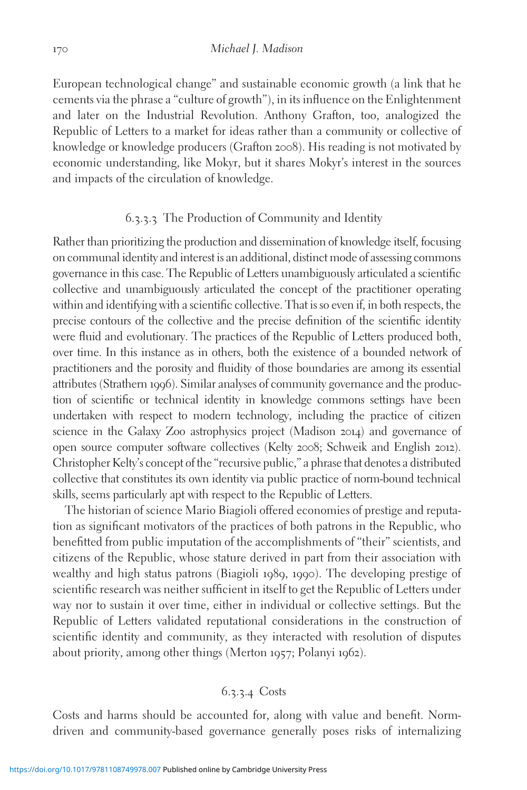European technological change" and sustainable economic growth (a link that he cements via the phrase a "culture of growth"), in its influence on the Enlightenment and later on the Industrial Revolution. Anthony Grafton, too, analogized the Republic of Letters to a market for ideas rather than a community or collective of knowledge or knowledge producers (Grafton 2008). His reading is not motivated by economic understanding, like Mokyr, but it shares Mokyr's interest in the sources and impacts of the circulation of knowledge.

#### 6.3.3.3 The Production of Community and Identity

Rather than prioritizing the production and dissemination of knowledge itself, focusing on communal identity and interest is an additional, distinct mode of assessing commons governance in this case. The Republic of Letters unambiguously articulated a scientific collective and unambiguously articulated the concept of the practitioner operating within and identifying with a scientific collective. That is so even if, in both respects, the precise contours of the collective and the precise definition of the scientific identity were fluid and evolutionary. The practices of the Republic of Letters produced both, over time. In this instance as in others, both the existence of a bounded network of practitioners and the porosity and fluidity of those boundaries are among its essential attributes (Strathern 1996). Similar analyses of community governance and the production of scientific or technical identity in knowledge commons settings have been undertaken with respect to modern technology, including the practice of citizen science in the Galaxy Zoo astrophysics project (Madison 2014) and governance of open source computer software collectives (Kelty 2008; Schweik and English 2012). Christopher Kelty's concept of the "recursive public," a phrase that denotes a distributed collective that constitutes its own identity via public practice of norm-bound technical skills, seems particularly apt with respect to the Republic of Letters.

The historian of science Mario Biagioli offered economies of prestige and reputation as significant motivators of the practices of both patrons in the Republic, who benefitted from public imputation of the accomplishments of "their" scientists, and citizens of the Republic, whose stature derived in part from their association with wealthy and high status patrons (Biagioli 1989, 1990). The developing prestige of scientific research was neither sufficient in itself to get the Republic of Letters under way nor to sustain it over time, either in individual or collective settings. But the Republic of Letters validated reputational considerations in the construction of scientific identity and community, as they interacted with resolution of disputes about priority, among other things (Merton 1957; Polanyi 1962).

# 6.3.3.4 Costs

Costs and harms should be accounted for, along with value and benefit. Normdriven and community-based governance generally poses risks of internalizing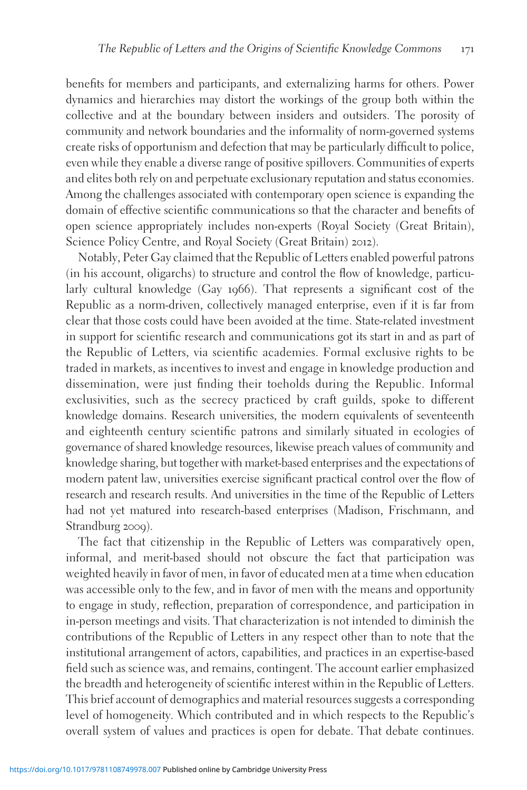benefits for members and participants, and externalizing harms for others. Power dynamics and hierarchies may distort the workings of the group both within the collective and at the boundary between insiders and outsiders. The porosity of community and network boundaries and the informality of norm-governed systems create risks of opportunism and defection that may be particularly difficult to police, even while they enable a diverse range of positive spillovers. Communities of experts and elites both rely on and perpetuate exclusionary reputation and status economies. Among the challenges associated with contemporary open science is expanding the domain of effective scientific communications so that the character and benefits of open science appropriately includes non-experts (Royal Society (Great Britain), Science Policy Centre, and Royal Society (Great Britain) 2012).

Notably, Peter Gay claimed that the Republic of Letters enabled powerful patrons (in his account, oligarchs) to structure and control the flow of knowledge, particularly cultural knowledge (Gay 1966). That represents a significant cost of the Republic as a norm-driven, collectively managed enterprise, even if it is far from clear that those costs could have been avoided at the time. State-related investment in support for scientific research and communications got its start in and as part of the Republic of Letters, via scientific academies. Formal exclusive rights to be traded in markets, as incentives to invest and engage in knowledge production and dissemination, were just finding their toeholds during the Republic. Informal exclusivities, such as the secrecy practiced by craft guilds, spoke to different knowledge domains. Research universities, the modern equivalents of seventeenth and eighteenth century scientific patrons and similarly situated in ecologies of governance of shared knowledge resources, likewise preach values of community and knowledge sharing, but together with market-based enterprises and the expectations of modern patent law, universities exercise significant practical control over the flow of research and research results. And universities in the time of the Republic of Letters had not yet matured into research-based enterprises (Madison, Frischmann, and Strandburg 2009).

The fact that citizenship in the Republic of Letters was comparatively open, informal, and merit-based should not obscure the fact that participation was weighted heavily in favor of men, in favor of educated men at a time when education was accessible only to the few, and in favor of men with the means and opportunity to engage in study, reflection, preparation of correspondence, and participation in in-person meetings and visits. That characterization is not intended to diminish the contributions of the Republic of Letters in any respect other than to note that the institutional arrangement of actors, capabilities, and practices in an expertise-based field such as science was, and remains, contingent. The account earlier emphasized the breadth and heterogeneity of scientific interest within in the Republic of Letters. This brief account of demographics and material resources suggests a corresponding level of homogeneity. Which contributed and in which respects to the Republic's overall system of values and practices is open for debate. That debate continues.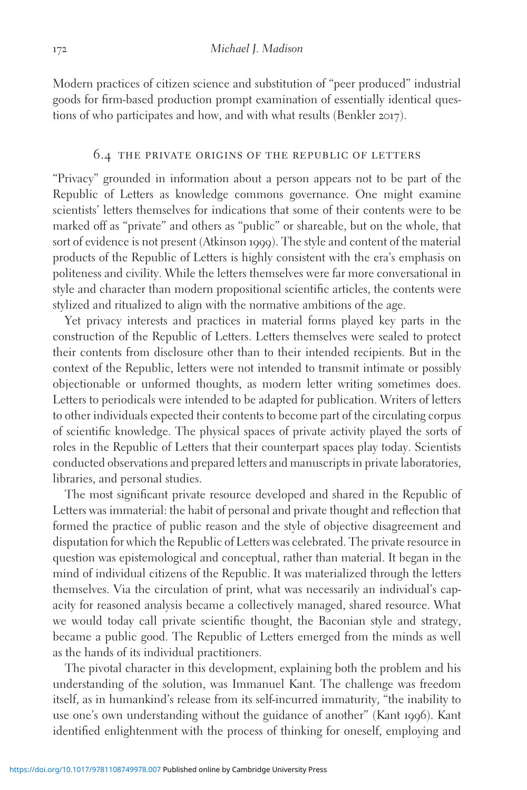Modern practices of citizen science and substitution of "peer produced" industrial goods for firm-based production prompt examination of essentially identical questions of who participates and how, and with what results (Benkler 2017).

#### 6.4 the private origins of the republic of letters

"Privacy" grounded in information about a person appears not to be part of the Republic of Letters as knowledge commons governance. One might examine scientists' letters themselves for indications that some of their contents were to be marked off as "private" and others as "public" or shareable, but on the whole, that sort of evidence is not present (Atkinson 1999). The style and content of the material products of the Republic of Letters is highly consistent with the era's emphasis on politeness and civility. While the letters themselves were far more conversational in style and character than modern propositional scientific articles, the contents were stylized and ritualized to align with the normative ambitions of the age.

Yet privacy interests and practices in material forms played key parts in the construction of the Republic of Letters. Letters themselves were sealed to protect their contents from disclosure other than to their intended recipients. But in the context of the Republic, letters were not intended to transmit intimate or possibly objectionable or unformed thoughts, as modern letter writing sometimes does. Letters to periodicals were intended to be adapted for publication. Writers of letters to other individuals expected their contents to become part of the circulating corpus of scientific knowledge. The physical spaces of private activity played the sorts of roles in the Republic of Letters that their counterpart spaces play today. Scientists conducted observations and prepared letters and manuscripts in private laboratories, libraries, and personal studies.

The most significant private resource developed and shared in the Republic of Letters was immaterial: the habit of personal and private thought and reflection that formed the practice of public reason and the style of objective disagreement and disputation for which the Republic of Letters was celebrated. The private resource in question was epistemological and conceptual, rather than material. It began in the mind of individual citizens of the Republic. It was materialized through the letters themselves. Via the circulation of print, what was necessarily an individual's capacity for reasoned analysis became a collectively managed, shared resource. What we would today call private scientific thought, the Baconian style and strategy, became a public good. The Republic of Letters emerged from the minds as well as the hands of its individual practitioners.

The pivotal character in this development, explaining both the problem and his understanding of the solution, was Immanuel Kant. The challenge was freedom itself, as in humankind's release from its self-incurred immaturity, "the inability to use one's own understanding without the guidance of another" (Kant 1996). Kant identified enlightenment with the process of thinking for oneself, employing and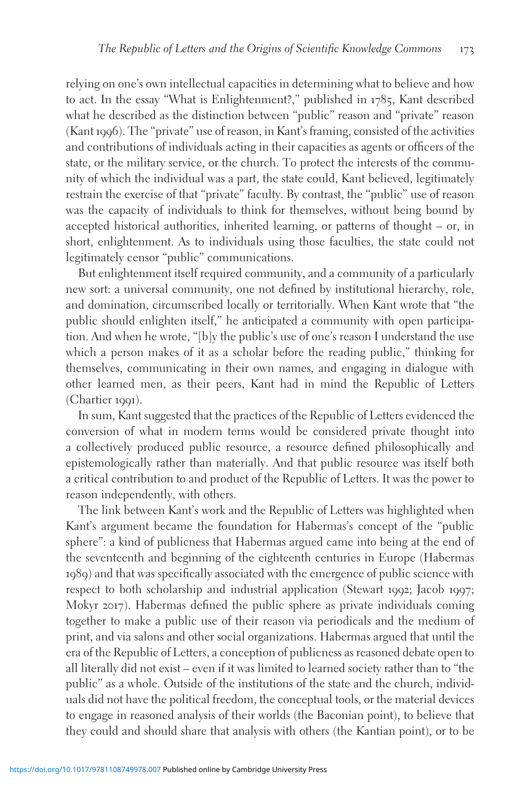relying on one's own intellectual capacities in determining what to believe and how to act. In the essay "What is Enlightenment?," published in 1785, Kant described what he described as the distinction between "public" reason and "private" reason (Kant 1996). The "private" use of reason, in Kant's framing, consisted of the activities and contributions of individuals acting in their capacities as agents or officers of the state, or the military service, or the church. To protect the interests of the community of which the individual was a part, the state could, Kant believed, legitimately restrain the exercise of that "private" faculty. By contrast, the "public" use of reason was the capacity of individuals to think for themselves, without being bound by accepted historical authorities, inherited learning, or patterns of thought – or, in short, enlightenment. As to individuals using those faculties, the state could not legitimately censor "public" communications.

But enlightenment itself required community, and a community of a particularly new sort: a universal community, one not defined by institutional hierarchy, role, and domination, circumscribed locally or territorially. When Kant wrote that "the public should enlighten itself," he anticipated a community with open participation. And when he wrote, "[b]y the public's use of one's reason I understand the use which a person makes of it as a scholar before the reading public," thinking for themselves, communicating in their own names, and engaging in dialogue with other learned men, as their peers, Kant had in mind the Republic of Letters (Chartier 1991).

In sum, Kant suggested that the practices of the Republic of Letters evidenced the conversion of what in modern terms would be considered private thought into a collectively produced public resource, a resource defined philosophically and epistemologically rather than materially. And that public resource was itself both a critical contribution to and product of the Republic of Letters. It was the power to reason independently, with others.

The link between Kant's work and the Republic of Letters was highlighted when Kant's argument became the foundation for Habermas's concept of the "public sphere": a kind of publicness that Habermas argued came into being at the end of the seventeenth and beginning of the eighteenth centuries in Europe (Habermas 1989) and that was specifically associated with the emergence of public science with respect to both scholarship and industrial application (Stewart 1992; Jacob 1997; Mokyr 2017). Habermas defined the public sphere as private individuals coming together to make a public use of their reason via periodicals and the medium of print, and via salons and other social organizations. Habermas argued that until the era of the Republic of Letters, a conception of publicness as reasoned debate open to all literally did not exist – even if it was limited to learned society rather than to "the public" as a whole. Outside of the institutions of the state and the church, individuals did not have the political freedom, the conceptual tools, or the material devices to engage in reasoned analysis of their worlds (the Baconian point), to believe that they could and should share that analysis with others (the Kantian point), or to be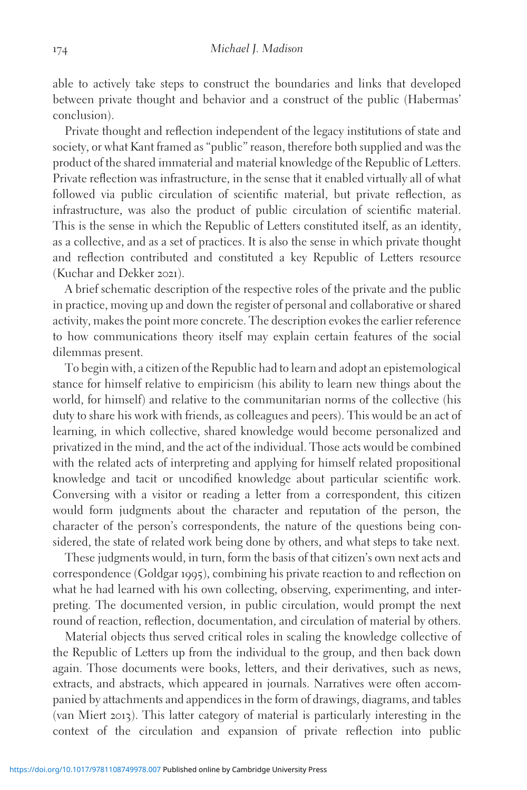able to actively take steps to construct the boundaries and links that developed between private thought and behavior and a construct of the public (Habermas' conclusion).

Private thought and reflection independent of the legacy institutions of state and society, or what Kant framed as "public" reason, therefore both supplied and was the product of the shared immaterial and material knowledge of the Republic of Letters. Private reflection was infrastructure, in the sense that it enabled virtually all of what followed via public circulation of scientific material, but private reflection, as infrastructure, was also the product of public circulation of scientific material. This is the sense in which the Republic of Letters constituted itself, as an identity, as a collective, and as a set of practices. It is also the sense in which private thought and reflection contributed and constituted a key Republic of Letters resource (Kuchar and Dekker 2021).

A brief schematic description of the respective roles of the private and the public in practice, moving up and down the register of personal and collaborative or shared activity, makes the point more concrete. The description evokes the earlier reference to how communications theory itself may explain certain features of the social dilemmas present.

To begin with, a citizen of the Republic had to learn and adopt an epistemological stance for himself relative to empiricism (his ability to learn new things about the world, for himself) and relative to the communitarian norms of the collective (his duty to share his work with friends, as colleagues and peers). This would be an act of learning, in which collective, shared knowledge would become personalized and privatized in the mind, and the act of the individual. Those acts would be combined with the related acts of interpreting and applying for himself related propositional knowledge and tacit or uncodified knowledge about particular scientific work. Conversing with a visitor or reading a letter from a correspondent, this citizen would form judgments about the character and reputation of the person, the character of the person's correspondents, the nature of the questions being considered, the state of related work being done by others, and what steps to take next.

These judgments would, in turn, form the basis of that citizen's own next acts and correspondence (Goldgar 1995), combining his private reaction to and reflection on what he had learned with his own collecting, observing, experimenting, and interpreting. The documented version, in public circulation, would prompt the next round of reaction, reflection, documentation, and circulation of material by others.

Material objects thus served critical roles in scaling the knowledge collective of the Republic of Letters up from the individual to the group, and then back down again. Those documents were books, letters, and their derivatives, such as news, extracts, and abstracts, which appeared in journals. Narratives were often accompanied by attachments and appendices in the form of drawings, diagrams, and tables (van Miert 2013). This latter category of material is particularly interesting in the context of the circulation and expansion of private reflection into public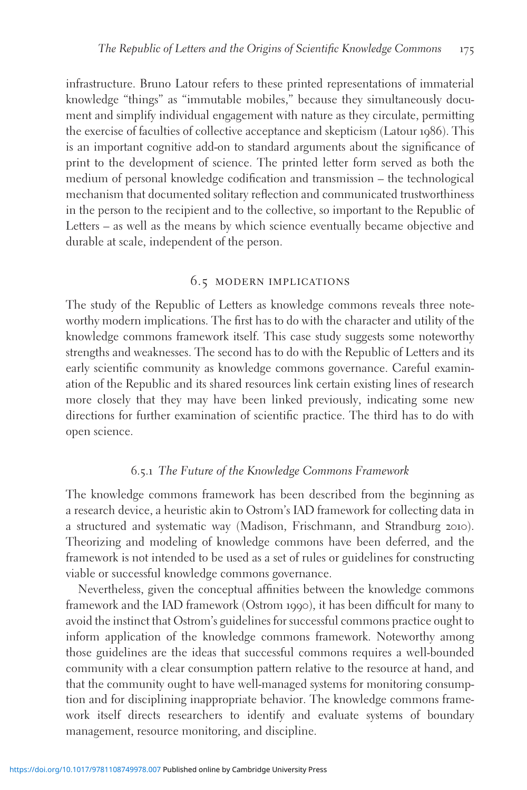infrastructure. Bruno Latour refers to these printed representations of immaterial knowledge "things" as "immutable mobiles," because they simultaneously document and simplify individual engagement with nature as they circulate, permitting the exercise of faculties of collective acceptance and skepticism (Latour 1986). This is an important cognitive add-on to standard arguments about the significance of print to the development of science. The printed letter form served as both the medium of personal knowledge codification and transmission – the technological mechanism that documented solitary reflection and communicated trustworthiness in the person to the recipient and to the collective, so important to the Republic of Letters – as well as the means by which science eventually became objective and durable at scale, independent of the person.

# 6.5 modern implications

The study of the Republic of Letters as knowledge commons reveals three noteworthy modern implications. The first has to do with the character and utility of the knowledge commons framework itself. This case study suggests some noteworthy strengths and weaknesses. The second has to do with the Republic of Letters and its early scientific community as knowledge commons governance. Careful examination of the Republic and its shared resources link certain existing lines of research more closely that they may have been linked previously, indicating some new directions for further examination of scientific practice. The third has to do with open science.

#### 6.5.1 The Future of the Knowledge Commons Framework

The knowledge commons framework has been described from the beginning as a research device, a heuristic akin to Ostrom's IAD framework for collecting data in a structured and systematic way (Madison, Frischmann, and Strandburg 2010). Theorizing and modeling of knowledge commons have been deferred, and the framework is not intended to be used as a set of rules or guidelines for constructing viable or successful knowledge commons governance.

Nevertheless, given the conceptual affinities between the knowledge commons framework and the IAD framework (Ostrom 1990), it has been difficult for many to avoid the instinct that Ostrom's guidelines for successful commons practice ought to inform application of the knowledge commons framework. Noteworthy among those guidelines are the ideas that successful commons requires a well-bounded community with a clear consumption pattern relative to the resource at hand, and that the community ought to have well-managed systems for monitoring consumption and for disciplining inappropriate behavior. The knowledge commons framework itself directs researchers to identify and evaluate systems of boundary management, resource monitoring, and discipline.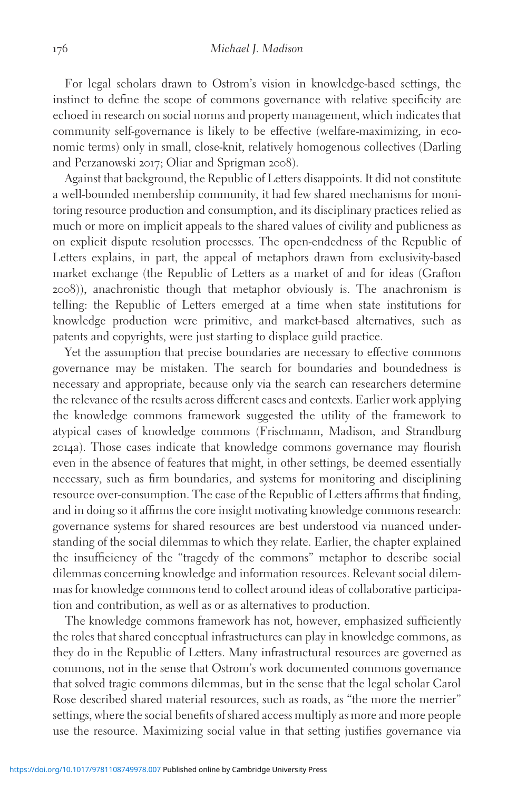For legal scholars drawn to Ostrom's vision in knowledge-based settings, the instinct to define the scope of commons governance with relative specificity are echoed in research on social norms and property management, which indicates that community self-governance is likely to be effective (welfare-maximizing, in economic terms) only in small, close-knit, relatively homogenous collectives (Darling and Perzanowski 2017; Oliar and Sprigman 2008).

Against that background, the Republic of Letters disappoints. It did not constitute a well-bounded membership community, it had few shared mechanisms for monitoring resource production and consumption, and its disciplinary practices relied as much or more on implicit appeals to the shared values of civility and publicness as on explicit dispute resolution processes. The open-endedness of the Republic of Letters explains, in part, the appeal of metaphors drawn from exclusivity-based market exchange (the Republic of Letters as a market of and for ideas (Grafton 2008)), anachronistic though that metaphor obviously is. The anachronism is telling: the Republic of Letters emerged at a time when state institutions for knowledge production were primitive, and market-based alternatives, such as patents and copyrights, were just starting to displace guild practice.

Yet the assumption that precise boundaries are necessary to effective commons governance may be mistaken. The search for boundaries and boundedness is necessary and appropriate, because only via the search can researchers determine the relevance of the results across different cases and contexts. Earlier work applying the knowledge commons framework suggested the utility of the framework to atypical cases of knowledge commons (Frischmann, Madison, and Strandburg 2014a). Those cases indicate that knowledge commons governance may flourish even in the absence of features that might, in other settings, be deemed essentially necessary, such as firm boundaries, and systems for monitoring and disciplining resource over-consumption. The case of the Republic of Letters affirms that finding, and in doing so it affirms the core insight motivating knowledge commons research: governance systems for shared resources are best understood via nuanced understanding of the social dilemmas to which they relate. Earlier, the chapter explained the insufficiency of the "tragedy of the commons" metaphor to describe social dilemmas concerning knowledge and information resources. Relevant social dilemmas for knowledge commons tend to collect around ideas of collaborative participation and contribution, as well as or as alternatives to production.

The knowledge commons framework has not, however, emphasized sufficiently the roles that shared conceptual infrastructures can play in knowledge commons, as they do in the Republic of Letters. Many infrastructural resources are governed as commons, not in the sense that Ostrom's work documented commons governance that solved tragic commons dilemmas, but in the sense that the legal scholar Carol Rose described shared material resources, such as roads, as "the more the merrier" settings, where the social benefits of shared access multiply as more and more people use the resource. Maximizing social value in that setting justifies governance via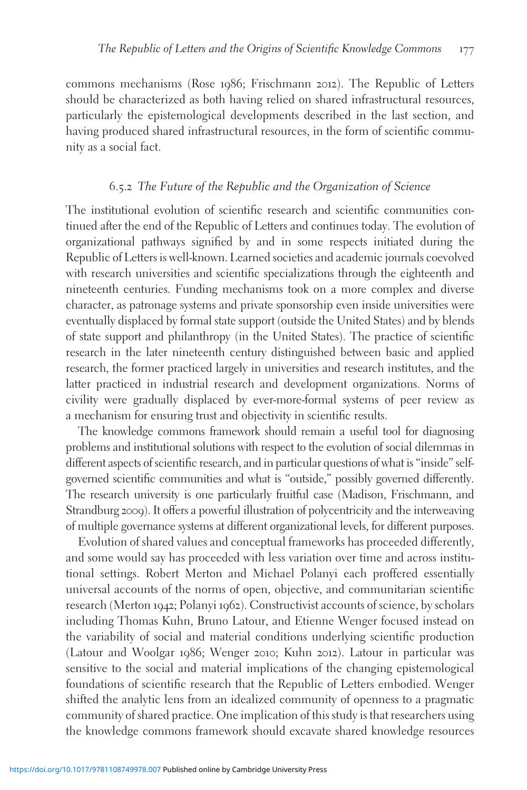commons mechanisms (Rose 1986; Frischmann 2012). The Republic of Letters should be characterized as both having relied on shared infrastructural resources, particularly the epistemological developments described in the last section, and having produced shared infrastructural resources, in the form of scientific community as a social fact.

### 6.5.2 The Future of the Republic and the Organization of Science

The institutional evolution of scientific research and scientific communities continued after the end of the Republic of Letters and continues today. The evolution of organizational pathways signified by and in some respects initiated during the Republic of Letters is well-known. Learned societies and academic journals coevolved with research universities and scientific specializations through the eighteenth and nineteenth centuries. Funding mechanisms took on a more complex and diverse character, as patronage systems and private sponsorship even inside universities were eventually displaced by formal state support (outside the United States) and by blends of state support and philanthropy (in the United States). The practice of scientific research in the later nineteenth century distinguished between basic and applied research, the former practiced largely in universities and research institutes, and the latter practiced in industrial research and development organizations. Norms of civility were gradually displaced by ever-more-formal systems of peer review as a mechanism for ensuring trust and objectivity in scientific results.

The knowledge commons framework should remain a useful tool for diagnosing problems and institutional solutions with respect to the evolution of social dilemmas in different aspects of scientific research, and in particular questions of what is "inside" selfgoverned scientific communities and what is "outside," possibly governed differently. The research university is one particularly fruitful case (Madison, Frischmann, and Strandburg 2009). It offers a powerful illustration of polycentricity and the interweaving of multiple governance systems at different organizational levels, for different purposes.

Evolution of shared values and conceptual frameworks has proceeded differently, and some would say has proceeded with less variation over time and across institutional settings. Robert Merton and Michael Polanyi each proffered essentially universal accounts of the norms of open, objective, and communitarian scientific research (Merton 1942; Polanyi 1962). Constructivist accounts of science, by scholars including Thomas Kuhn, Bruno Latour, and Etienne Wenger focused instead on the variability of social and material conditions underlying scientific production (Latour and Woolgar 1986; Wenger 2010; Kuhn 2012). Latour in particular was sensitive to the social and material implications of the changing epistemological foundations of scientific research that the Republic of Letters embodied. Wenger shifted the analytic lens from an idealized community of openness to a pragmatic community of shared practice. One implication of this study is that researchers using the knowledge commons framework should excavate shared knowledge resources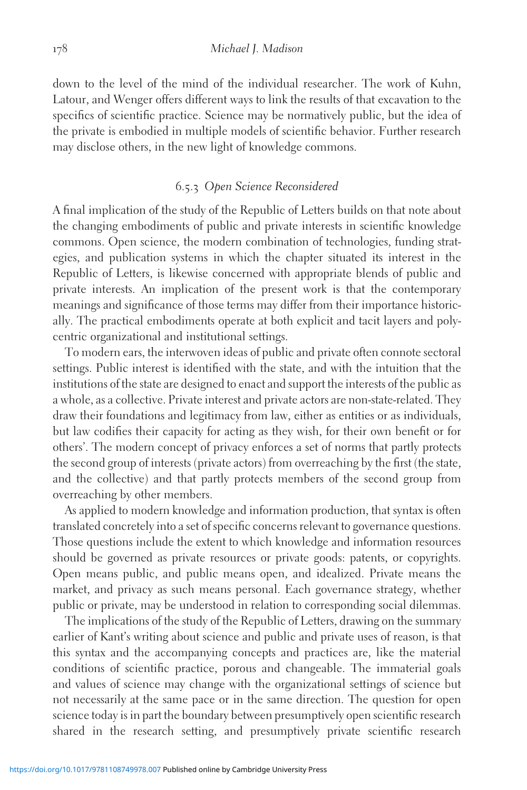down to the level of the mind of the individual researcher. The work of Kuhn, Latour, and Wenger offers different ways to link the results of that excavation to the specifics of scientific practice. Science may be normatively public, but the idea of the private is embodied in multiple models of scientific behavior. Further research may disclose others, in the new light of knowledge commons.

#### 6.5.3 Open Science Reconsidered

A final implication of the study of the Republic of Letters builds on that note about the changing embodiments of public and private interests in scientific knowledge commons. Open science, the modern combination of technologies, funding strategies, and publication systems in which the chapter situated its interest in the Republic of Letters, is likewise concerned with appropriate blends of public and private interests. An implication of the present work is that the contemporary meanings and significance of those terms may differ from their importance historically. The practical embodiments operate at both explicit and tacit layers and polycentric organizational and institutional settings.

To modern ears, the interwoven ideas of public and private often connote sectoral settings. Public interest is identified with the state, and with the intuition that the institutions of the state are designed to enact and support the interests of the public as a whole, as a collective. Private interest and private actors are non-state-related. They draw their foundations and legitimacy from law, either as entities or as individuals, but law codifies their capacity for acting as they wish, for their own benefit or for others'. The modern concept of privacy enforces a set of norms that partly protects the second group of interests (private actors) from overreaching by the first (the state, and the collective) and that partly protects members of the second group from overreaching by other members.

As applied to modern knowledge and information production, that syntax is often translated concretely into a set of specific concerns relevant to governance questions. Those questions include the extent to which knowledge and information resources should be governed as private resources or private goods: patents, or copyrights. Open means public, and public means open, and idealized. Private means the market, and privacy as such means personal. Each governance strategy, whether public or private, may be understood in relation to corresponding social dilemmas.

The implications of the study of the Republic of Letters, drawing on the summary earlier of Kant's writing about science and public and private uses of reason, is that this syntax and the accompanying concepts and practices are, like the material conditions of scientific practice, porous and changeable. The immaterial goals and values of science may change with the organizational settings of science but not necessarily at the same pace or in the same direction. The question for open science today is in part the boundary between presumptively open scientific research shared in the research setting, and presumptively private scientific research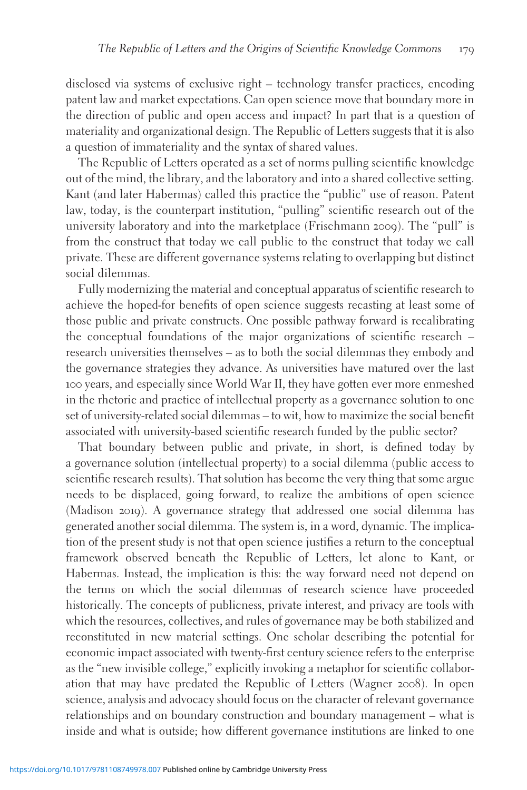disclosed via systems of exclusive right – technology transfer practices, encoding patent law and market expectations. Can open science move that boundary more in the direction of public and open access and impact? In part that is a question of materiality and organizational design. The Republic of Letters suggests that it is also a question of immateriality and the syntax of shared values.

The Republic of Letters operated as a set of norms pulling scientific knowledge out of the mind, the library, and the laboratory and into a shared collective setting. Kant (and later Habermas) called this practice the "public" use of reason. Patent law, today, is the counterpart institution, "pulling" scientific research out of the university laboratory and into the marketplace (Frischmann 2009). The "pull" is from the construct that today we call public to the construct that today we call private. These are different governance systems relating to overlapping but distinct social dilemmas.

Fully modernizing the material and conceptual apparatus of scientific research to achieve the hoped-for benefits of open science suggests recasting at least some of those public and private constructs. One possible pathway forward is recalibrating the conceptual foundations of the major organizations of scientific research – research universities themselves – as to both the social dilemmas they embody and the governance strategies they advance. As universities have matured over the last 100 years, and especially since World War II, they have gotten ever more enmeshed in the rhetoric and practice of intellectual property as a governance solution to one set of university-related social dilemmas – to wit, how to maximize the social benefit associated with university-based scientific research funded by the public sector?

That boundary between public and private, in short, is defined today by a governance solution (intellectual property) to a social dilemma (public access to scientific research results). That solution has become the very thing that some argue needs to be displaced, going forward, to realize the ambitions of open science (Madison 2019). A governance strategy that addressed one social dilemma has generated another social dilemma. The system is, in a word, dynamic. The implication of the present study is not that open science justifies a return to the conceptual framework observed beneath the Republic of Letters, let alone to Kant, or Habermas. Instead, the implication is this: the way forward need not depend on the terms on which the social dilemmas of research science have proceeded historically. The concepts of publicness, private interest, and privacy are tools with which the resources, collectives, and rules of governance may be both stabilized and reconstituted in new material settings. One scholar describing the potential for economic impact associated with twenty-first century science refers to the enterprise as the "new invisible college," explicitly invoking a metaphor for scientific collaboration that may have predated the Republic of Letters (Wagner 2008). In open science, analysis and advocacy should focus on the character of relevant governance relationships and on boundary construction and boundary management – what is inside and what is outside; how different governance institutions are linked to one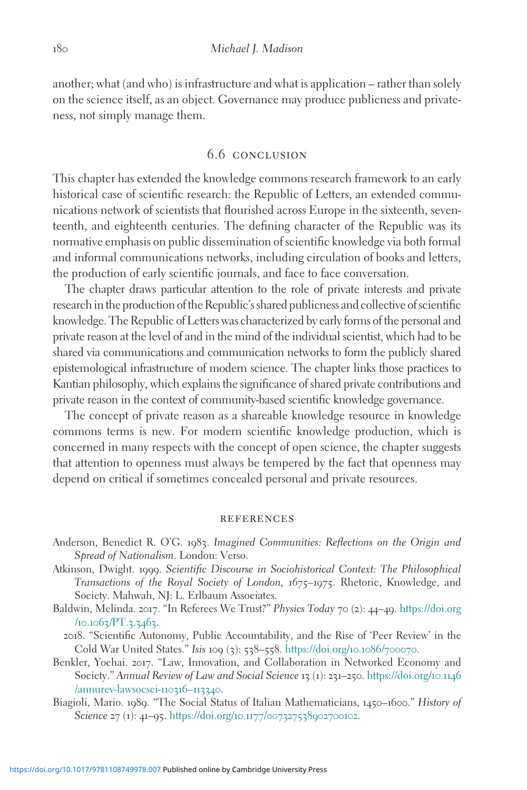another; what (and who) is infrastructure and what is application – rather than solely on the science itself, as an object. Governance may produce publicness and privateness, not simply manage them.

# 6.6 conclusion

This chapter has extended the knowledge commons research framework to an early historical case of scientific research: the Republic of Letters, an extended communications network of scientists that flourished across Europe in the sixteenth, seventeenth, and eighteenth centuries. The defining character of the Republic was its normative emphasis on public dissemination of scientific knowledge via both formal and informal communications networks, including circulation of books and letters, the production of early scientific journals, and face to face conversation.

The chapter draws particular attention to the role of private interests and private research in the production ofthe Republic's shared publicness and collective of scientific knowledge. The Republic of Letters was characterized by early forms of the personal and private reason at the level of and in the mind of the individual scientist, which had to be shared via communications and communication networks to form the publicly shared epistemological infrastructure of modern science. The chapter links those practices to Kantian philosophy, which explains the significance of shared private contributions and private reason in the context of community-based scientific knowledge governance.

The concept of private reason as a shareable knowledge resource in knowledge commons terms is new. For modern scientific knowledge production, which is concerned in many respects with the concept of open science, the chapter suggests that attention to openness must always be tempered by the fact that openness may depend on critical if sometimes concealed personal and private resources.

#### **REFERENCES**

- Anderson, Benedict R. O'G. 1983. Imagined Communities: Reflections on the Origin and Spread of Nationalism. London: Verso.
- Atkinson, Dwight. 1999. Scientific Discourse in Sociohistorical Context: The Philosophical Transactions of the Royal Society of London, 1675–1975. Rhetoric, Knowledge, and Society. Mahwah, NJ: L. Erlbaum Associates.
- Baldwin, Melinda. 2017. "In Referees We Trust?" Physics Today 70 (2): 44-49. [https://doi.org](https://doi.org/10.1063/PT.3.3463)  $/10.1063/PT.3.3463.$  $/10.1063/PT.3.3463.$  $/10.1063/PT.3.3463.$
- 2018. "Scientific Autonomy, Public Accountability, and the Rise of 'Peer Review' in the Cold War United States." Isis 109 (3): 538–558. [https://doi.org/](https://doi.org/10.1086/700070)10.1086/700070.
- Benkler, Yochai. 2017. "Law, Innovation, and Collaboration in Networked Economy and Society." Annual Review of Law and Social Science 13 (1): 231–250. [https://doi.org/](https://doi.org/10.1146/annurev-lawsocsci-110316113340)10.1146 [/annurev-lawsocsci-](https://doi.org/10.1146/annurev-lawsocsci-110316113340)110316–113340.
- Biagioli, Mario. 1989. "The Social Status of Italian Mathematicians, 1450–1600." History of Science 27 (1): 41-95. https://doi.org/10.1177/[007327538902700102](https://doi.org/10.1177/007327538902700102).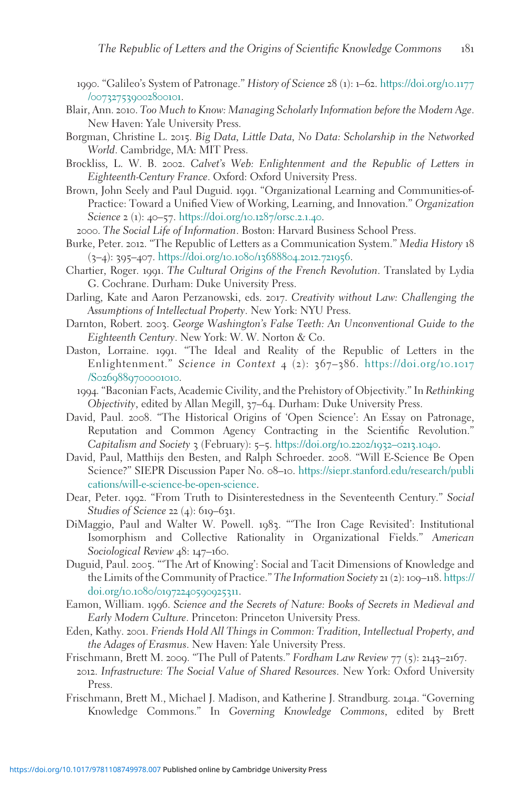- 1990. "Galileo's System of Patronage." History of Science 28 (1): 1–62. [https://doi.org/](https://doi.org/10.1177/007327539002800101)10.1177 /[007327539002800101](https://doi.org/10.1177/007327539002800101).
- Blair, Ann. 2010. Too Much to Know: Managing Scholarly Information before the Modern Age. New Haven: Yale University Press.
- Borgman, Christine L. 2015. Big Data, Little Data, No Data: Scholarship in the Networked World. Cambridge, MA: MIT Press.
- Brockliss, L. W. B. 2002. Calvet's Web: Enlightenment and the Republic of Letters in Eighteenth-Century France. Oxford: Oxford University Press.
- Brown, John Seely and Paul Duguid. 1991. "Organizational Learning and Communities-of-Practice: Toward a Unified View of Working, Learning, and Innovation." Organization Science 2 (1): 40–57. [https://doi.org/](https://doi.org/10.1287/orsc.2.1.40)10.1287/orsc.2.1.40.

2000. The Social Life of Information. Boston: Harvard Business School Press.

- Burke, Peter. 2012. "The Republic of Letters as a Communication System." Media History 18 (3–4): 395–407. [https://doi.org/](https://doi.org/10.1080/13688804.2012.721956)10.1080/13688804.2012.721956.
- Chartier, Roger. 1991. The Cultural Origins of the French Revolution. Translated by Lydia G. Cochrane. Durham: Duke University Press.
- Darling, Kate and Aaron Perzanowski, eds. 2017. Creativity without Law: Challenging the Assumptions of Intellectual Property. New York: NYU Press.
- Darnton, Robert. 2003. George Washington's False Teeth: An Unconventional Guide to the Eighteenth Century. New York: W. W. Norton & Co.
- Daston, Lorraine. 1991. "The Ideal and Reality of the Republic of Letters in the Enlightenment." Science in Context 4 (2): 367-386. [https://doi.org/](https://doi.org/10.1017/S0269889700001010)10.1017 /S[0269889700001010](https://doi.org/10.1017/S0269889700001010).
	- 1994. "Baconian Facts, Academic Civility, and the Prehistory of Objectivity." In Rethinking Objectivity, edited by Allan Megill, 37–64. Durham: Duke University Press.
- David, Paul. 2008. "The Historical Origins of 'Open Science': An Essay on Patronage, Reputation and Common Agency Contracting in the Scientific Revolution." Capitalism and Society 3 (February): 5–5. [https://doi.org/](https://doi.org/10.2202/19320213.1040)10.2202/1932–0213.1040.
- David, Paul, Matthijs den Besten, and Ralph Schroeder. 2008. "Will E-Science Be Open Science?" SIEPR Discussion Paper No. 08–10. [https://siepr.stanford.edu/research/publi](https://siepr.stanford.edu/research/publications/will-e-science-be-open-science) [cations/will-e-science-be-open-science](https://siepr.stanford.edu/research/publications/will-e-science-be-open-science).
- Dear, Peter. 1992. "From Truth to Disinterestedness in the Seventeenth Century." Social Studies of Science 22 (4): 619–631.
- DiMaggio, Paul and Walter W. Powell. 1983. "'The Iron Cage Revisited': Institutional Isomorphism and Collective Rationality in Organizational Fields." American Sociological Review 48: 147–160.
- Duguid, Paul. 2005. "'The Art of Knowing': Social and Tacit Dimensions of Knowledge and the Limits of the Community of Practice." The Information Society 21 (2): 109–118. [https://](https://doi.org/10.1080/01972240590925311) doi.org/10.1080/[01972240590925311](https://doi.org/10.1080/01972240590925311).
- Eamon, William. 1996. Science and the Secrets of Nature: Books of Secrets in Medieval and Early Modern Culture. Princeton: Princeton University Press.
- Eden, Kathy. 2001. Friends Hold All Things in Common: Tradition, Intellectual Property, and the Adages of Erasmus. New Haven: Yale University Press.
- Frischmann, Brett M. 2009. "The Pull of Patents." Fordham Law Review 77 (5): 2143–2167. 2012. Infrastructure: The Social Value of Shared Resources. New York: Oxford University Press.
- Frischmann, Brett M., Michael J. Madison, and Katherine J. Strandburg. 2014a. "Governing Knowledge Commons." In Governing Knowledge Commons, edited by Brett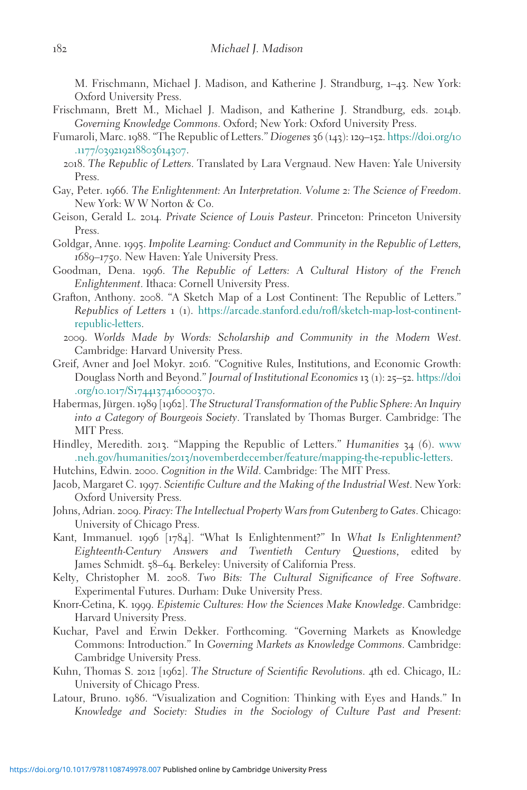M. Frischmann, Michael J. Madison, and Katherine J. Strandburg, 1–43. New York: Oxford University Press.

- Frischmann, Brett M., Michael J. Madison, and Katherine J. Strandburg, eds. 2014b. Governing Knowledge Commons. Oxford; New York: Oxford University Press.
- Fumaroli, Marc. 1988. "The Republic of Letters." Diogenes 36 (143): 129–152. [https://doi.org/](https://doi.org/10.1177/039219218803614307)10 .1177/[039219218803614307](https://doi.org/10.1177/039219218803614307).
	- 2018. The Republic of Letters. Translated by Lara Vergnaud. New Haven: Yale University Press.
- Gay, Peter. 1966. The Enlightenment: An Interpretation. Volume 2: The Science of Freedom. New York: W W Norton & Co.
- Geison, Gerald L. 2014. Private Science of Louis Pasteur. Princeton: Princeton University Press.
- Goldgar, Anne. 1995. Impolite Learning: Conduct and Community in the Republic of Letters, 1689–1750. New Haven: Yale University Press.
- Goodman, Dena. 1996. The Republic of Letters: A Cultural History of the French Enlightenment. Ithaca: Cornell University Press.
- Grafton, Anthony. 2008. "A Sketch Map of a Lost Continent: The Republic of Letters." Republics of Letters 1 (1). [https://arcade.stanford.edu/rofl/sketch-map-lost-continent](https://arcade.stanford.edu/rofl/sketch-map-lost-continent-republic-letters)[republic-letters.](https://arcade.stanford.edu/rofl/sketch-map-lost-continent-republic-letters)
	- 2009. Worlds Made by Words: Scholarship and Community in the Modern West. Cambridge: Harvard University Press.
- Greif, Avner and Joel Mokyr. 2016. "Cognitive Rules, Institutions, and Economic Growth: Douglass North and Beyond." Journal of Institutional Economics 13 (1): 25–52. [https://doi](https://doi.org/10.1017/S1744137416000370) .org/10.1017/S[1744137416000370](https://doi.org/10.1017/S1744137416000370).
- Habermas, Jürgen. 1989 [1962]. The Structural Transformation of the Public Sphere: An Inquiry into a Category of Bourgeois Society. Translated by Thomas Burger. Cambridge: The MIT Press.
- Hindley, Meredith. 2013. "Mapping the Republic of Letters." Humanities 34 (6). [www](http://www.neh.gov/humanities/2013/novemberdecember/feature/mapping-the-republic-letters) .neh.gov/humanities/2013[/novemberdecember/feature/mapping-the-republic-letters](http://www.neh.gov/humanities/2013/novemberdecember/feature/mapping-the-republic-letters).
- Hutchins, Edwin. 2000. Cognition in the Wild. Cambridge: The MIT Press.
- Jacob, Margaret C. 1997. Scientific Culture and the Making of the Industrial West. New York: Oxford University Press.
- Johns, Adrian. 2009. Piracy: The Intellectual Property Wars from Gutenberg to Gates. Chicago: University of Chicago Press.
- Kant, Immanuel. 1996 [1784]. "What Is Enlightenment?" In What Is Enlightenment? Eighteenth-Century Answers and Twentieth Century Questions, edited by James Schmidt. 58–64. Berkeley: University of California Press.
- Kelty, Christopher M. 2008. Two Bits: The Cultural Significance of Free Software. Experimental Futures. Durham: Duke University Press.
- Knorr-Cetina, K. 1999. Epistemic Cultures: How the Sciences Make Knowledge. Cambridge: Harvard University Press.
- Kuchar, Pavel and Erwin Dekker. Forthcoming. "Governing Markets as Knowledge Commons: Introduction." In Governing Markets as Knowledge Commons. Cambridge: Cambridge University Press.
- Kuhn, Thomas S. 2012 [1962]. The Structure of Scientific Revolutions. 4th ed. Chicago, IL: University of Chicago Press.
- Latour, Bruno. 1986. "Visualization and Cognition: Thinking with Eyes and Hands." In Knowledge and Society: Studies in the Sociology of Culture Past and Present: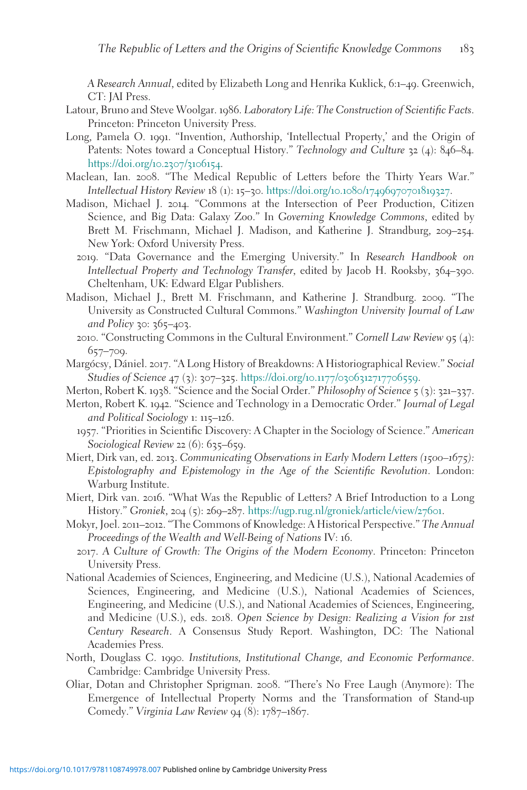A Research Annual, edited by Elizabeth Long and Henrika Kuklick, 6:1–49. Greenwich, CT: JAI Press.

- Latour, Bruno and Steve Woolgar. 1986. Laboratory Life: The Construction of Scientific Facts. Princeton: Princeton University Press.
- Long, Pamela O. 1991. "Invention, Authorship, 'Intellectual Property,' and the Origin of Patents: Notes toward a Conceptual History." Technology and Culture 32 (4): 846–84. [https://doi.org/](https://doi.org/10.2307/3106154)10.2307/3106154.
- Maclean, Ian. 2008. "The Medical Republic of Letters before the Thirty Years War." Intellectual History Review 18 (1): 15–30. https://doi.org/10.1080/[17496970701819327](https://doi.org/10.1080/17496970701819327).
- Madison, Michael J. 2014. "Commons at the Intersection of Peer Production, Citizen Science, and Big Data: Galaxy Zoo." In Governing Knowledge Commons, edited by Brett M. Frischmann, Michael J. Madison, and Katherine J. Strandburg, 209–254. New York: Oxford University Press.
	- 2019. "Data Governance and the Emerging University." In Research Handbook on Intellectual Property and Technology Transfer, edited by Jacob H. Rooksby, 364–390. Cheltenham, UK: Edward Elgar Publishers.
- Madison, Michael J., Brett M. Frischmann, and Katherine J. Strandburg. 2009. "The University as Constructed Cultural Commons." Washington University Journal of Law and Policy 30: 365-403.
	- 2010. "Constructing Commons in the Cultural Environment." Cornell Law Review 95 (4): 657–709.
- Margócsy, Dániel. 2017. "A Long History of Breakdowns: A Historiographical Review." Social Studies of Science 47 (3): 307-325. [https://doi.org/](https://doi.org/10.1177/0306312717706559)10.1177/0306312717706559.
- Merton, Robert K. 1938. "Science and the Social Order." Philosophy of Science 5 (3): 321-337.
- Merton, Robert K. 1942. "Science and Technology in a Democratic Order." Journal of Legal and Political Sociology 1: 115–126.
	- 1957. "Priorities in Scientific Discovery: A Chapter in the Sociology of Science." American Sociological Review 22 (6): 635–659.
- Miert, Dirk van, ed. 2013. Communicating Observations in Early Modern Letters (1500-1675): Epistolography and Epistemology in the Age of the Scientific Revolution. London: Warburg Institute.
- Miert, Dirk van. 2016. "What Was the Republic of Letters? A Brief Introduction to a Long History." Groniek, 204 (5): 269–287. [https://ugp.rug.nl/groniek/article/view/](https://ugp.rug.nl/groniek/article/view/27601)27601.
- Mokyr, Joel. 2011–2012. "The Commons of Knowledge: A Historical Perspective." The Annual Proceedings of the Wealth and Well-Being of Nations IV: 16.
	- 2017. A Culture of Growth: The Origins of the Modern Economy. Princeton: Princeton University Press.
- National Academies of Sciences, Engineering, and Medicine (U.S.), National Academies of Sciences, Engineering, and Medicine (U.S.), National Academies of Sciences, Engineering, and Medicine (U.S.), and National Academies of Sciences, Engineering, and Medicine (U.S.), eds. 2018. Open Science by Design: Realizing a Vision for 21st Century Research. A Consensus Study Report. Washington, DC: The National Academies Press.
- North, Douglass C. 1990. Institutions, Institutional Change, and Economic Performance. Cambridge: Cambridge University Press.
- Oliar, Dotan and Christopher Sprigman. 2008. "There's No Free Laugh (Anymore): The Emergence of Intellectual Property Norms and the Transformation of Stand-up Comedy." Virginia Law Review 94 (8): 1787–1867.